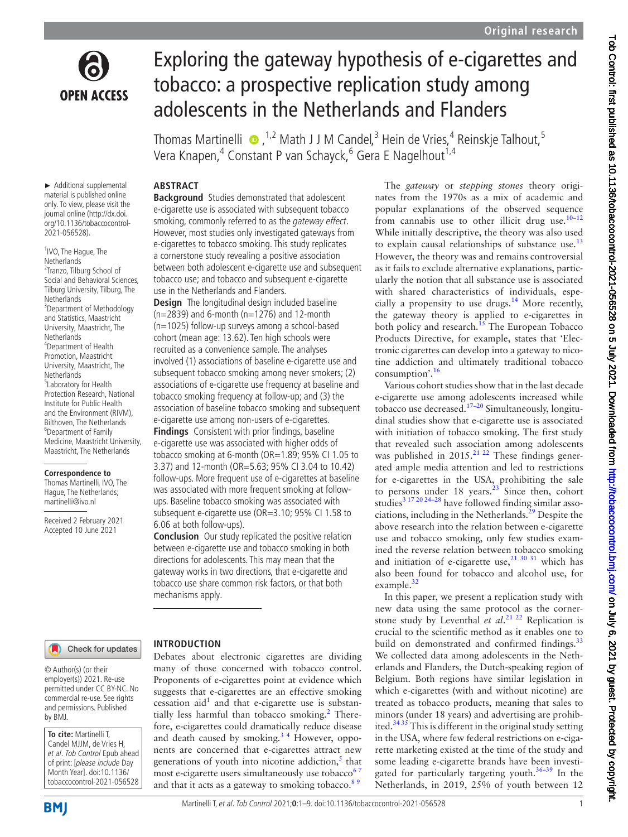

Exploring the gateway hypothesis of e-cigarettes and tobacco: a prospective replication study among adolescents in the Netherlands and Flanders

Thomas Martinelli  $\bullet$ , <sup>1,2</sup> Math J J M Candel,<sup>3</sup> Hein de Vries,<sup>4</sup> Reinskje Talhout,<sup>5</sup> Vera Knapen,<sup>4</sup> Constant P van Schayck,<sup>6</sup> Gera E Nagelhout<sup>1,4</sup>

# **ABSTRACT**

► Additional supplemental material is published online only. To view, please visit the journal online ([http://dx.doi.](http://dx.doi.org/10.1136/tobaccocontrol-2021-056528) [org/10.1136/tobaccocontrol-](http://dx.doi.org/10.1136/tobaccocontrol-2021-056528)[2021-056528\)](http://dx.doi.org/10.1136/tobaccocontrol-2021-056528).

<sup>1</sup> IVO, The Hague, The **Netherlands** <sup>2</sup>Tranzo, Tilburg School of Social and Behavioral Sciences, Tilburg University, Tilburg, The **Netherlands** 3 Department of Methodology and Statistics, Maastricht University, Maastricht, The **Netherlands** 4 Department of Health Promotion, Maastricht University, Maastricht, The Netherlands 5 Laboratory for Health Protection Research, National Institute for Public Health and the Environment (RIVM), Bilthoven, The Netherlands 6 Department of Family Medicine, Maastricht University, Maastricht, The Netherlands

**Correspondence to**

Thomas Martinelli, IVO, The Hague, The Netherlands; martinelli@ivo.nl

Received 2 February 2021 Accepted 10 June 2021

**Background** Studies demonstrated that adolescent e-cigarette use is associated with subsequent tobacco smoking, commonly referred to as the *gateway effect*. However, most studies only investigated gateways from e-cigarettes to tobacco smoking. This study replicates a cornerstone study revealing a positive association between both adolescent e-cigarette use and subsequent tobacco use; and tobacco and subsequent e-cigarette use in the Netherlands and Flanders.

**Design** The longitudinal design included baseline  $(n=2839)$  and 6-month  $(n=1276)$  and 12-month (n=1025) follow-up surveys among a school-based cohort (mean age: 13.62). Ten high schools were recruited as a convenience sample. The analyses involved (1) associations of baseline e-cigarette use and subsequent tobacco smoking among never smokers; (2) associations of e-cigarette use frequency at baseline and tobacco smoking frequency at follow-up; and (3) the association of baseline tobacco smoking and subsequent e-cigarette use among non-users of e-cigarettes.

**Findings** Consistent with prior findings, baseline e-cigarette use was associated with higher odds of tobacco smoking at 6-month (OR=1.89; 95% CI 1.05 to 3.37) and 12-month (OR=5.63; 95% CI 3.04 to 10.42) follow-ups. More frequent use of e-cigarettes at baseline was associated with more frequent smoking at followups. Baseline tobacco smoking was associated with subsequent e-cigarette use (OR=3.10; 95% CI 1.58 to 6.06 at both follow-ups).

**Conclusion** Our study replicated the positive relation between e-cigarette use and tobacco smoking in both directions for adolescents. This may mean that the gateway works in two directions, that e-cigarette and tobacco use share common risk factors, or that both mechanisms apply.

Check for updates

### **INTRODUCTION**

Debates about electronic cigarettes are dividing many of those concerned with tobacco control. Proponents of e-cigarettes point at evidence which suggests that e-cigarettes are an effective smoking cessation aid<sup>1</sup> and that e-cigarette use is substantially less harmful than tobacco smoking.<sup>2</sup> Therefore, e-cigarettes could dramatically reduce disease and death caused by smoking.<sup>34</sup> However, opponents are concerned that e-cigarettes attract new generations of youth into nicotine addiction, $\frac{5}{3}$  $\frac{5}{3}$  $\frac{5}{3}$  that most e-cigarette users simultaneously use tobacco<sup>6</sup> and that it acts as a gateway to smoking tobacco.<sup>89</sup>

The *gateway* or *stepping stones* theory originates from the 1970s as a mix of academic and popular explanations of the observed sequence from cannabis use to other illicit drug use.<sup>10-12</sup> While initially descriptive, the theory was also used to explain causal relationships of substance use.<sup>[13](#page-7-7)</sup> However, the theory was and remains controversial as it fails to exclude alternative explanations, particularly the notion that all substance use is associated with shared characteristics of individuals, especially a propensity to use drugs.<sup>14</sup> More recently, the gateway theory is applied to e-cigarettes in both policy and research.<sup>15</sup> The European Tobacco Products Directive, for example, states that 'Electronic cigarettes can develop into a gateway to nicotine addiction and ultimately traditional tobacco consumption'.[16](#page-8-2)

Various cohort studies show that in the last decade e-cigarette use among adolescents increased while tobacco use decreased. $17-20$  Simultaneously, longitudinal studies show that e-cigarette use is associated with initiation of tobacco smoking. The first study that revealed such association among adolescents was published in  $2015.^{21}$   $22$  These findings generated ample media attention and led to restrictions for e-cigarettes in the USA, prohibiting the sale to persons under 18 years. $^{23}$  Since then, cohort studies<sup>3 17 20 24-28</sup> have followed finding similar associations, including in the Netherlands. $^{29}$  Despite the above research into the relation between e-cigarette use and tobacco smoking, only few studies examined the reverse relation between tobacco smoking and initiation of e-cigarette use, $2^{130}$  31 which has also been found for tobacco and alcohol use, for example.<sup>[32](#page-8-7)</sup>

In this paper, we present a replication study with new data using the same protocol as the cornerstone study by Leventhal *et al*. [21 22](#page-8-4) Replication is crucial to the scientific method as it enables one to build on demonstrated and confirmed findings.<sup>[33](#page-8-8)</sup> We collected data among adolescents in the Netherlands and Flanders, the Dutch-speaking region of Belgium. Both regions have similar legislation in which e-cigarettes (with and without nicotine) are treated as tobacco products, meaning that sales to minors (under 18 years) and advertising are prohibited. $3435$  This is different in the original study setting in the USA, where few federal restrictions on e-cigarette marketing existed at the time of the study and some leading e-cigarette brands have been investigated for particularly targeting youth.<sup>36–39</sup> In the Netherlands, in 2019, 25% of youth between 12

© Author(s) (or their

employer(s)) 2021. Re-use permitted under CC BY-NC. No commercial re-use. See rights and permissions. Published by BMJ.

**To cite:** Martinelli T, Candel MJJM, de Vries H, et al. Tob Control Epub ahead of print: [please include Day Month Year]. doi:10.1136/ tobaccocontrol-2021-056528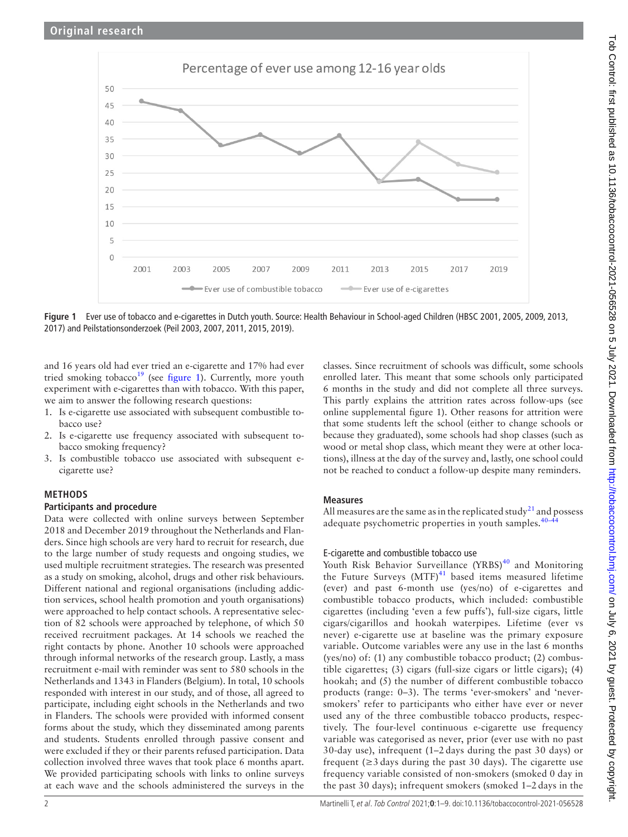

<span id="page-1-0"></span>**Figure 1** Ever use of tobacco and e-cigarettes in Dutch youth. Source: Health Behaviour in School-aged Children (HBSC 2001, 2005, 2009, 2013, 2017) and Peilstationsonderzoek (Peil 2003, 2007, 2011, 2015, 2019).

and 16 years old had ever tried an e-cigarette and 17% had ever tried smoking tobacco<sup>19</sup> (see [figure](#page-1-0) 1). Currently, more youth experiment with e-cigarettes than with tobacco. With this paper, we aim to answer the following research questions:

- 1. Is e-cigarette use associated with subsequent combustible tobacco use?
- 2. Is e-cigarette use frequency associated with subsequent tobacco smoking frequency?
- 3. Is combustible tobacco use associated with subsequent ecigarette use?

# **METHODS**

# **Participants and procedure**

Data were collected with online surveys between September 2018 and December 2019 throughout the Netherlands and Flanders. Since high schools are very hard to recruit for research, due to the large number of study requests and ongoing studies, we used multiple recruitment strategies. The research was presented as a study on smoking, alcohol, drugs and other risk behaviours. Different national and regional organisations (including addiction services, school health promotion and youth organisations) were approached to help contact schools. A representative selection of 82 schools were approached by telephone, of which 50 received recruitment packages. At 14 schools we reached the right contacts by phone. Another 10 schools were approached through informal networks of the research group. Lastly, a mass recruitment e-mail with reminder was sent to 580 schools in the Netherlands and 1343 in Flanders (Belgium). In total, 10 schools responded with interest in our study, and of those, all agreed to participate, including eight schools in the Netherlands and two in Flanders. The schools were provided with informed consent forms about the study, which they disseminated among parents and students. Students enrolled through passive consent and were excluded if they or their parents refused participation. Data collection involved three waves that took place 6 months apart. We provided participating schools with links to online surveys at each wave and the schools administered the surveys in the

classes. Since recruitment of schools was difficult, some schools enrolled later. This meant that some schools only participated 6 months in the study and did not complete all three surveys. This partly explains the attrition rates across follow-ups (see [online supplemental figure 1\)](https://dx.doi.org/10.1136/tobaccocontrol-2021-056528). Other reasons for attrition were that some students left the school (either to change schools or because they graduated), some schools had shop classes (such as wood or metal shop class, which meant they were at other locations), illness at the day of the survey and, lastly, one school could not be reached to conduct a follow-up despite many reminders.

# **Measures**

All measures are the same as in the replicated study<sup>[21](#page-8-4)</sup> and possess adequate psychometric properties in youth samples.<sup>40-</sup>

# E-cigarette and combustible tobacco use

Youth Risk Behavior Surveillance  $(YRBS)^{40}$  and Monitoring the Future Surveys  $(MTF)^{41}$  $(MTF)^{41}$  $(MTF)^{41}$  based items measured lifetime (ever) and past 6-month use (yes/no) of e-cigarettes and combustible tobacco products, which included: combustible cigarettes (including 'even a few puffs'), full-size cigars, little cigars/cigarillos and hookah waterpipes. Lifetime (ever vs never) e-cigarette use at baseline was the primary exposure variable. Outcome variables were any use in the last 6 months (yes/no) of: (1) any combustible tobacco product; (2) combustible cigarettes; (3) cigars (full-size cigars or little cigars); (4) hookah; and (5) the number of different combustible tobacco products (range: 0–3). The terms 'ever-smokers' and 'neversmokers' refer to participants who either have ever or never used any of the three combustible tobacco products, respectively. The four-level continuous e-cigarette use frequency variable was categorised as never, prior (ever use with no past 30-day use), infrequent (1–2 days during the past 30 days) or frequent ( $\geq$ 3 days during the past 30 days). The cigarette use frequency variable consisted of non-smokers (smoked 0 day in the past 30 days); infrequent smokers (smoked 1–2 days in the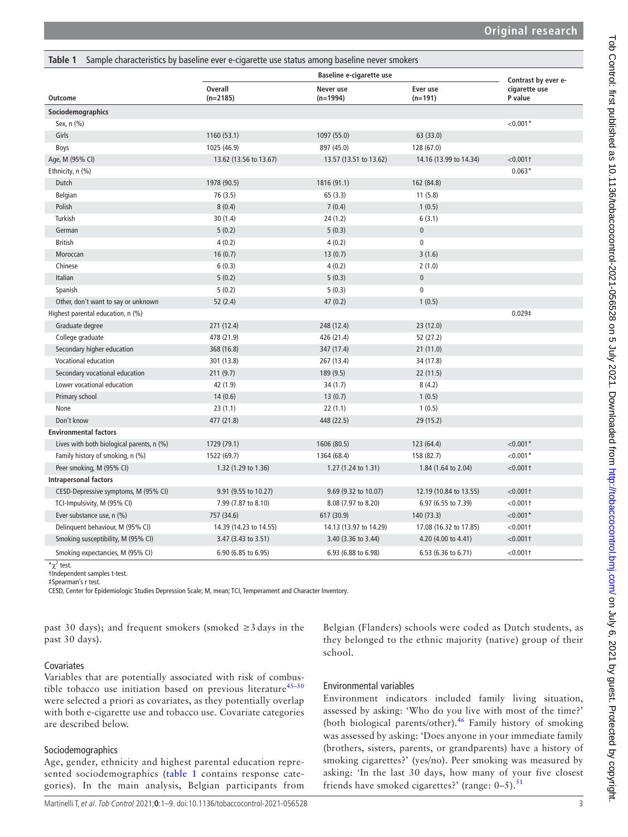<span id="page-2-0"></span>

| Table 1                                   | Sample characteristics by baseline ever e-cigarette use status among baseline never smokers |                                 |                        |                          |
|-------------------------------------------|---------------------------------------------------------------------------------------------|---------------------------------|------------------------|--------------------------|
|                                           |                                                                                             | <b>Baseline e-cigarette use</b> |                        | Contrast by ever e-      |
| Outcome                                   | <b>Overall</b><br>$(n=2185)$                                                                | Never use<br>$(n=1994)$         | Ever use<br>$(n=191)$  | cigarette use<br>P value |
| Sociodemographics                         |                                                                                             |                                 |                        |                          |
| Sex, n (%)                                |                                                                                             |                                 |                        | $< 0.001*$               |
| Girls                                     | 1160 (53.1)                                                                                 | 1097 (55.0)                     | 63 (33.0)              |                          |
| Boys                                      | 1025 (46.9)                                                                                 | 897 (45.0)                      | 128 (67.0)             |                          |
| Age, M (95% CI)                           | 13.62 (13.56 to 13.67)                                                                      | 13.57 (13.51 to 13.62)          | 14.16 (13.99 to 14.34) | $< 0.001$ †              |
| Ethnicity, n (%)                          |                                                                                             |                                 |                        | $0.063*$                 |
| Dutch                                     | 1978 (90.5)                                                                                 | 1816 (91.1)                     | 162 (84.8)             |                          |
| Belgian                                   | 76 (3.5)                                                                                    | 65(3.3)                         | 11(5.8)                |                          |
| Polish                                    | 8(0.4)                                                                                      | 7(0.4)                          | 1(0.5)                 |                          |
| Turkish                                   | 30 (1.4)                                                                                    | 24 (1.2)                        | 6(3.1)                 |                          |
| German                                    | 5(0.2)                                                                                      | 5(0.3)                          | $\overline{0}$         |                          |
| <b>British</b>                            | 4(0.2)                                                                                      | 4(0.2)                          | $\mathbf 0$            |                          |
| Moroccan                                  | 16(0.7)                                                                                     | 13(0.7)                         | 3(1.6)                 |                          |
| Chinese                                   | 6(0.3)                                                                                      | 4(0.2)                          | 2(1.0)                 |                          |
| Italian                                   | 5(0.2)                                                                                      | 5(0.3)                          | $\mathbf 0$            |                          |
| Spanish                                   | 5(0.2)                                                                                      | 5(0.3)                          | $\pmb{0}$              |                          |
| Other, don't want to say or unknown       | 52(2.4)                                                                                     | 47(0.2)                         | 1(0.5)                 |                          |
| Highest parental education, n (%)         |                                                                                             |                                 |                        | 0.029 <sup>‡</sup>       |
| Graduate degree                           | 271 (12.4)                                                                                  | 248 (12.4)                      | 23(12.0)               |                          |
| College graduate                          | 478 (21.9)                                                                                  | 426 (21.4)                      | 52 (27.2)              |                          |
| Secondary higher education                | 368 (16.8)                                                                                  | 347 (17.4)                      | 21(11.0)               |                          |
| Vocational education                      | 301 (13.8)                                                                                  | 267 (13.4)                      | 34 (17.8)              |                          |
| Secondary vocational education            | 211(9.7)                                                                                    | 189 (9.5)                       | 22 (11.5)              |                          |
| Lower vocational education                | 42 (1.9)                                                                                    | 34(1.7)                         | 8(4.2)                 |                          |
| Primary school                            | 14(0.6)                                                                                     | 13(0.7)                         | 1(0.5)                 |                          |
| None                                      | 23(1.1)                                                                                     | 22(1.1)                         | 1(0.5)                 |                          |
| Don't know                                | 477 (21.8)                                                                                  | 448 (22.5)                      | 29 (15.2)              |                          |
| <b>Environmental factors</b>              |                                                                                             |                                 |                        |                          |
| Lives with both biological parents, n (%) | 1729 (79.1)                                                                                 | 1606 (80.5)                     | 123 (64.4)             | $< 0.001*$               |
| Family history of smoking, n (%)          | 1522 (69.7)                                                                                 | 1364 (68.4)                     | 158 (82.7)             | $< 0.001*$               |
| Peer smoking, M (95% CI)                  | 1.32 (1.29 to 1.36)                                                                         | 1.27 (1.24 to 1.31)             | 1.84 (1.64 to 2.04)    | $< 0.001$ †              |
| <b>Intrapersonal factors</b>              |                                                                                             |                                 |                        |                          |
| CESD-Depressive symptoms, M (95% CI)      | 9.91 (9.55 to 10.27)                                                                        | 9.69 (9.32 to 10.07)            | 12.19 (10.84 to 13.55) | $< 0.001$ †              |
| TCI-Impulsivity, M (95% CI)               | 7.99 (7.87 to 8.10)                                                                         | 8.08 (7.97 to 8.20)             | 6.97 (6.55 to 7.39)    | $< 0.001$ †              |
| Ever substance use, n (%)                 | 757 (34.6)                                                                                  | 617 (30.9)                      | 140 (73.3)             | $< 0.001*$               |
| Delinquent behaviour, M (95% CI)          | 14.39 (14.23 to 14.55)                                                                      | 14.13 (13.97 to 14.29)          | 17.08 (16.32 to 17.85) | $< 0.001$ †              |
| Smoking susceptibility, M (95% CI)        | 3.47 (3.43 to 3.51)                                                                         | $3.40$ (3.36 to 3.44)           | 4.20 (4.00 to 4.41)    | $< 0.001$ †              |
| Smoking expectancies, M (95% CI)          | 6.90 (6.85 to 6.95)                                                                         | 6.93 (6.88 to 6.98)             | 6.53 (6.36 to 6.71)    | $< 0.001$ †              |

 $\chi^2$  test.

†Independent samples t-test.

‡Spearman's r test.

CESD, Center for Epidemiologic Studies Depression Scale; M, mean; TCI, Temperament and Character Inventory.

past 30 days); and frequent smokers (smoked ≥3 days in the past 30 days).

### Covariates

Variables that are potentially associated with risk of combustible tobacco use initiation based on previous literature $45-50$ were selected a priori as covariates, as they potentially overlap with both e-cigarette use and tobacco use. Covariate categories are described below.

### **Sociodemographics**

Age, gender, ethnicity and highest parental education represented sociodemographics ([table](#page-2-0) 1 contains response categories). In the main analysis, Belgian participants from

Belgian (Flanders) schools were coded as Dutch students, as they belonged to the ethnic majority (native) group of their school.

# Environmental variables

Environment indicators included family living situation, assessed by asking: 'Who do you live with most of the time?' (both biological parents/other).<sup>46</sup> Family history of smoking was assessed by asking: 'Does anyone in your immediate family (brothers, sisters, parents, or grandparents) have a history of smoking cigarettes?' (yes/no). Peer smoking was measured by asking: 'In the last 30 days, how many of your five closest friends have smoked cigarettes?' (range:  $0-5$ ).<sup>[51](#page-8-16)</sup>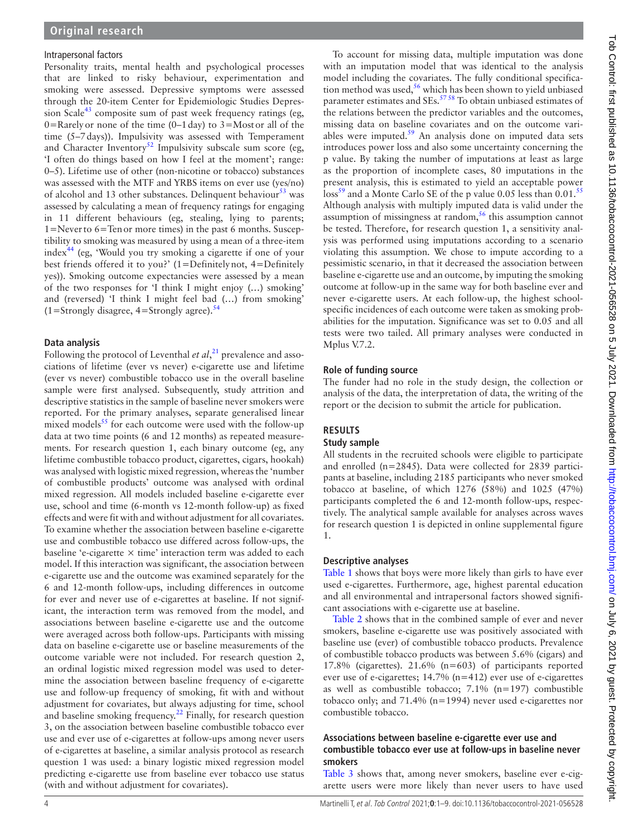### Intrapersonal factors

Personality traits, mental health and psychological processes that are linked to risky behaviour, experimentation and smoking were assessed. Depressive symptoms were assessed through the 20-item Center for Epidemiologic Studies Depression Scale<sup>43</sup> composite sum of past week frequency ratings (eg, 0=Rarely or none of the time  $(0-1 \text{ day})$  to 3=Mostor all of the time (5–7days)). Impulsivity was assessed with Temperament and Character Inventory<sup>52</sup> Impulsivity subscale sum score (eg, 'I often do things based on how I feel at the moment'; range: 0–5). Lifetime use of other (non-nicotine or tobacco) substances was assessed with the MTF and YRBS items on ever use (yes/no) of alcohol and 13 other substances. Delinquent behaviour $^{53}$  was assessed by calculating a mean of frequency ratings for engaging in 11 different behaviours (eg, stealing, lying to parents; 1=Neverto 6=Tenor more times) in the past 6 months. Susceptibility to smoking was measured by using a mean of a three-item index<sup>[44](#page-8-20)</sup> (eg, 'Would you try smoking a cigarette if one of your best friends offered it to you?' (1=Definitelynot, 4=Definitely yes)). Smoking outcome expectancies were assessed by a mean of the two responses for 'I think I might enjoy (…) smoking' and (reversed) 'I think I might feel bad (…) from smoking'  $(1=$ Strongly disagree,  $4=$ Strongly agree).<sup>[54](#page-8-21)</sup>

## **Data analysis**

Following the protocol of Leventhal *et al*, [21](#page-8-4) prevalence and associations of lifetime (ever vs never) e-cigarette use and lifetime (ever vs never) combustible tobacco use in the overall baseline sample were first analysed. Subsequently, study attrition and descriptive statistics in the sample of baseline never smokers were reported. For the primary analyses, separate generalised linear mixed models $55$  for each outcome were used with the follow-up data at two time points (6 and 12 months) as repeated measurements. For research question 1, each binary outcome (eg, any lifetime combustible tobacco product, cigarettes, cigars, hookah) was analysed with logistic mixed regression, whereas the 'number of combustible products' outcome was analysed with ordinal mixed regression. All models included baseline e-cigarette ever use, school and time (6-month vs 12-month follow-up) as fixed effects and were fit with and without adjustment for all covariates. To examine whether the association between baseline e-cigarette use and combustible tobacco use differed across follow-ups, the baseline 'e-cigarette  $\times$  time' interaction term was added to each model. If this interaction was significant, the association between e-cigarette use and the outcome was examined separately for the 6 and 12-month follow-ups, including differences in outcome for ever and never use of e-cigarettes at baseline. If not significant, the interaction term was removed from the model, and associations between baseline e-cigarette use and the outcome were averaged across both follow-ups. Participants with missing data on baseline e-cigarette use or baseline measurements of the outcome variable were not included. For research question 2, an ordinal logistic mixed regression model was used to determine the association between baseline frequency of e-cigarette use and follow-up frequency of smoking, fit with and without adjustment for covariates, but always adjusting for time, school and baseline smoking frequency.<sup>22</sup> Finally, for research question 3, on the association between baseline combustible tobacco ever use and ever use of e-cigarettes at follow-ups among never users of e-cigarettes at baseline, a similar analysis protocol as research question 1 was used: a binary logistic mixed regression model predicting e-cigarette use from baseline ever tobacco use status (with and without adjustment for covariates).

To account for missing data, multiple imputation was done with an imputation model that was identical to the analysis model including the covariates. The fully conditional specification method was used, $56$  which has been shown to yield unbiased parameter estimates and SEs.<sup>5758</sup> To obtain unbiased estimates of the relations between the predictor variables and the outcomes, missing data on baseline covariates and on the outcome variables were imputed. $59$  An analysis done on imputed data sets introduces power loss and also some uncertainty concerning the p value. By taking the number of imputations at least as large as the proportion of incomplete cases, 80 imputations in the present analysis, this is estimated to yield an acceptable power loss<sup>[59](#page-8-26)</sup> and a Monte Carlo SE of the p value 0.05 less than 0.01.<sup>[55](#page-8-22)</sup> Although analysis with multiply imputed data is valid under the assumption of missingness at random,<sup>56</sup> this assumption cannot be tested. Therefore, for research question 1, a sensitivity analysis was performed using imputations according to a scenario violating this assumption. We chose to impute according to a pessimistic scenario, in that it decreased the association between baseline e-cigarette use and an outcome, by imputing the smoking outcome at follow-up in the same way for both baseline ever and never e-cigarette users. At each follow-up, the highest schoolspecific incidences of each outcome were taken as smoking probabilities for the imputation. Significance was set to 0.05 and all tests were two tailed. All primary analyses were conducted in Mplus V.7.2.

# **Role of funding source**

The funder had no role in the study design, the collection or analysis of the data, the interpretation of data, the writing of the report or the decision to submit the article for publication.

# **RESULTS**

### **Study sample**

All students in the recruited schools were eligible to participate and enrolled (n=2845). Data were collected for 2839 participants at baseline, including 2185 participants who never smoked tobacco at baseline, of which 1276 (58%) and 1025 (47%) participants completed the 6 and 12-month follow-ups, respectively. The analytical sample available for analyses across waves for research question 1 is depicted in [online supplemental figure](https://dx.doi.org/10.1136/tobaccocontrol-2021-056528) [1.](https://dx.doi.org/10.1136/tobaccocontrol-2021-056528)

# **Descriptive analyses**

[Table](#page-2-0) 1 shows that boys were more likely than girls to have ever used e-cigarettes. Furthermore, age, highest parental education and all environmental and intrapersonal factors showed significant associations with e-cigarette use at baseline.

[Table](#page-4-0) 2 shows that in the combined sample of ever and never smokers, baseline e-cigarette use was positively associated with baseline use (ever) of combustible tobacco products. Prevalence of combustible tobacco products was between 5.6% (cigars) and 17.8% (cigarettes). 21.6% (n=603) of participants reported ever use of e-cigarettes; 14.7% (n=412) ever use of e-cigarettes as well as combustible tobacco; 7.1% (n=197) combustible tobacco only; and 71.4% (n=1994) never used e-cigarettes nor combustible tobacco.

### **Associations between baseline e-cigarette ever use and combustible tobacco ever use at follow-ups in baseline never smokers**

[Table](#page-4-1) 3 shows that, among never smokers, baseline ever e-cigarette users were more likely than never users to have used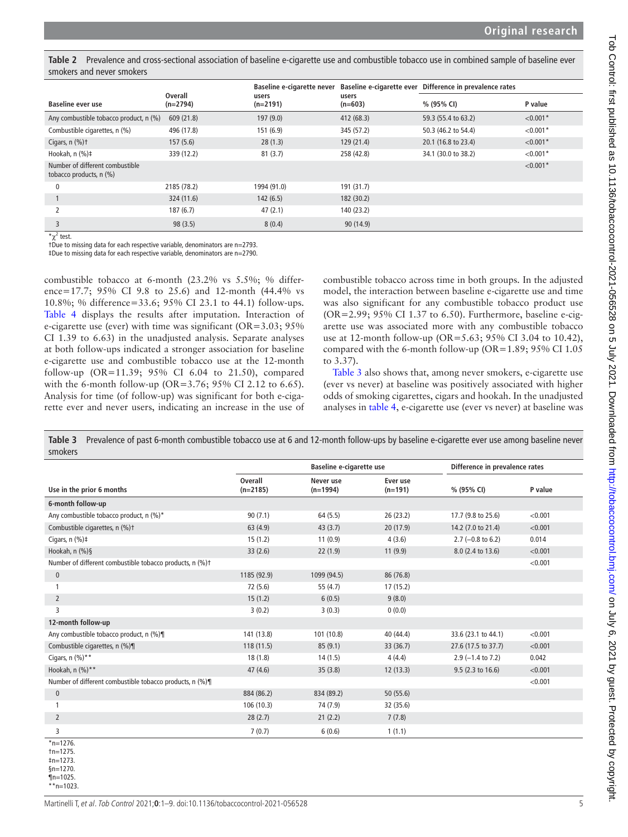<span id="page-4-0"></span>**Table 2** Prevalence and cross-sectional association of baseline e-cigarette use and combustible tobacco use in combined sample of baseline ever smokers and never smokers

|                                                            |                       | Baseline e-cigarette never |                    | Baseline e-cigarette ever Difference in prevalence rates |            |
|------------------------------------------------------------|-----------------------|----------------------------|--------------------|----------------------------------------------------------|------------|
| Baseline ever use                                          | Overall<br>$(n=2794)$ | users<br>$(n=2191)$        | users<br>$(n=603)$ | % (95% CI)                                               | P value    |
| Any combustible tobacco product, n (%)                     | 609 (21.8)            | 197(9.0)                   | 412 (68.3)         | 59.3 (55.4 to 63.2)                                      | $< 0.001*$ |
| Combustible cigarettes, n (%)                              | 496 (17.8)            | 151 (6.9)                  | 345 (57.2)         | 50.3 (46.2 to 54.4)                                      | $< 0.001*$ |
| Cigars, $n$ $(\%)$ †                                       | 157(5.6)              | 28(1.3)                    | 129(21.4)          | 20.1 (16.8 to 23.4)                                      | $< 0.001*$ |
| Hookah, n (%)‡                                             | 339 (12.2)            | 81(3.7)                    | 258 (42.8)         | 34.1 (30.0 to 38.2)                                      | $< 0.001*$ |
| Number of different combustible<br>tobacco products, n (%) |                       |                            |                    |                                                          | $< 0.001*$ |
| 0                                                          | 2185 (78.2)           | 1994 (91.0)                | 191 (31.7)         |                                                          |            |
|                                                            | 324 (11.6)            | 142(6.5)                   | 182 (30.2)         |                                                          |            |
|                                                            | 187(6.7)              | 47(2.1)                    | 140 (23.2)         |                                                          |            |
| 3                                                          | 98(3.5)               | 8(0.4)                     | 90 (14.9)          |                                                          |            |

 $\pi \chi^2$  test.

¶n=1025. \*\*n=1023.

†Due to missing data for each respective variable, denominators are n=2793.

‡Due to missing data for each respective variable, denominators are n=2790.

combustible tobacco at 6-month (23.2% vs 5.5%; % difference=17.7; 95% CI 9.8 to 25.6) and 12-month (44.4% vs 10.8%; % difference=33.6; 95% CI 23.1 to 44.1) follow-ups. [Table](#page-5-0) 4 displays the results after imputation. Interaction of e-cigarette use (ever) with time was significant (OR=3.03; 95% CI 1.39 to 6.63) in the unadjusted analysis. Separate analyses at both follow-ups indicated a stronger association for baseline e-cigarette use and combustible tobacco use at the 12-month follow-up (OR=11.39; 95% CI 6.04 to 21.50), compared with the 6-month follow-up (OR=3.76; 95% CI 2.12 to 6.65). Analysis for time (of follow-up) was significant for both e-cigarette ever and never users, indicating an increase in the use of combustible tobacco across time in both groups. In the adjusted model, the interaction between baseline e-cigarette use and time was also significant for any combustible tobacco product use (OR=2.99; 95% CI 1.37 to 6.50). Furthermore, baseline e-cigarette use was associated more with any combustible tobacco use at 12-month follow-up (OR=5.63; 95% CI 3.04 to 10.42), compared with the 6-month follow-up (OR=1.89; 95% CI 1.05 to 3.37).

[Table](#page-4-1) 3 also shows that, among never smokers, e-cigarette use (ever vs never) at baseline was positively associated with higher odds of smoking cigarettes, cigars and hookah. In the unadjusted analyses in [table](#page-5-0) 4, e-cigarette use (ever vs never) at baseline was

|                                                          |                              | <b>Baseline e-cigarette use</b> |                       | Difference in prevalence rates |         |
|----------------------------------------------------------|------------------------------|---------------------------------|-----------------------|--------------------------------|---------|
| Use in the prior 6 months                                | <b>Overall</b><br>$(n=2185)$ | Never use<br>$(n=1994)$         | Ever use<br>$(n=191)$ | % (95% CI)                     | P value |
| 6-month follow-up                                        |                              |                                 |                       |                                |         |
| Any combustible tobacco product, n (%)*                  | 90(7.1)                      | 64(5.5)                         | 26(23.2)              | 17.7 (9.8 to 25.6)             | < 0.001 |
| Combustible cigarettes, n (%)t                           | 63(4.9)                      | 43(3.7)                         | 20 (17.9)             | 14.2 (7.0 to 21.4)             | < 0.001 |
| Cigars, $n$ (%) $\ddagger$                               | 15(1.2)                      | 11(0.9)                         | 4(3.6)                | $2.7$ (-0.8 to 6.2)            | 0.014   |
| Hookah, n (%)§                                           | 33(2.6)                      | 22(1.9)                         | 11(9.9)               | 8.0 (2.4 to 13.6)              | < 0.001 |
| Number of different combustible tobacco products, n (%)+ |                              |                                 |                       |                                | < 0.001 |
| $\pmb{0}$                                                | 1185 (92.9)                  | 1099 (94.5)                     | 86 (76.8)             |                                |         |
| 1                                                        | 72 (5.6)                     | 55 (4.7)                        | 17(15.2)              |                                |         |
| $\overline{2}$                                           | 15(1.2)                      | 6(0.5)                          | 9(8.0)                |                                |         |
| $\overline{3}$                                           | 3(0.2)                       | 3(0.3)                          | 0(0.0)                |                                |         |
| 12-month follow-up                                       |                              |                                 |                       |                                |         |
| Any combustible tobacco product, n (%)¶                  | 141 (13.8)                   | 101 (10.8)                      | 40 (44.4)             | 33.6 (23.1 to 44.1)            | < 0.001 |
| Combustible cigarettes, n (%)¶                           | 118(11.5)                    | 85(9.1)                         | 33(36.7)              | 27.6 (17.5 to 37.7)            | < 0.001 |
| Cigars, $n$ (%)**                                        | 18(1.8)                      | 14(1.5)                         | 4(4.4)                | $2.9$ (-1.4 to 7.2)            | 0.042   |
| Hookah, n (%)**                                          | 47(4.6)                      | 35(3.8)                         | 12(13.3)              | 9.5 (2.3 to 16.6)              | < 0.001 |
| Number of different combustible tobacco products, n (%)¶ |                              |                                 |                       |                                | < 0.001 |
| $\bf{0}$                                                 | 884 (86.2)                   | 834 (89.2)                      | 50(55.6)              |                                |         |
| 1                                                        | 106(10.3)                    | 74 (7.9)                        | 32 (35.6)             |                                |         |
| $\overline{2}$                                           | 28(2.7)                      | 21(2.2)                         | 7(7.8)                |                                |         |
| 3                                                        | 7(0.7)                       | 6(0.6)                          | 1(1.1)                |                                |         |

<span id="page-4-1"></span>**Table 3** Prevalence of past 6-month combustible tobacco use at 6 and 12-month follow-ups by baseline e-cigarette ever use among baseline never smokers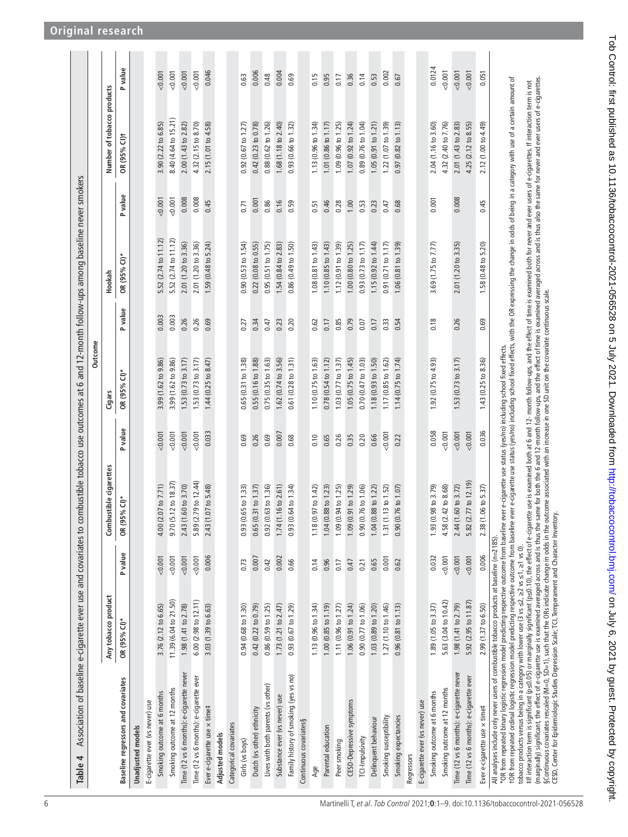<span id="page-5-0"></span>

| Association of baseline e-cigarette ever use and covariates to combustible tobacco use outcomes at 6 and 12-month follow-ups among baseline never smokers<br>Table 4                                                                                                                                                                                                                                                                                                                                                                                                                                                                                                                                                                                                                                                                                                                                                                                                                                                                                                                           |                       |         |                                    |         |                               |         |                      |         |                               |         |
|------------------------------------------------------------------------------------------------------------------------------------------------------------------------------------------------------------------------------------------------------------------------------------------------------------------------------------------------------------------------------------------------------------------------------------------------------------------------------------------------------------------------------------------------------------------------------------------------------------------------------------------------------------------------------------------------------------------------------------------------------------------------------------------------------------------------------------------------------------------------------------------------------------------------------------------------------------------------------------------------------------------------------------------------------------------------------------------------|-----------------------|---------|------------------------------------|---------|-------------------------------|---------|----------------------|---------|-------------------------------|---------|
|                                                                                                                                                                                                                                                                                                                                                                                                                                                                                                                                                                                                                                                                                                                                                                                                                                                                                                                                                                                                                                                                                                |                       |         |                                    |         | Outcome                       |         |                      |         |                               |         |
|                                                                                                                                                                                                                                                                                                                                                                                                                                                                                                                                                                                                                                                                                                                                                                                                                                                                                                                                                                                                                                                                                                | Any tobacco product   |         | <b>istible</b> cigarettes<br>Combu |         | Cigars                        |         | Hookah               |         | Number of tobacco products    |         |
| Baseline regressors and covariates                                                                                                                                                                                                                                                                                                                                                                                                                                                                                                                                                                                                                                                                                                                                                                                                                                                                                                                                                                                                                                                             | OR (95% CI)*          | P value | $%$ CI) <sup>*</sup><br>OR (95     | P value | OR (95% CI)*                  | P value | OR (95% CI)*         | P value | OR (95% CI)+                  | P value |
| <b>Unadjusted</b> models                                                                                                                                                                                                                                                                                                                                                                                                                                                                                                                                                                                                                                                                                                                                                                                                                                                                                                                                                                                                                                                                       |                       |         |                                    |         |                               |         |                      |         |                               |         |
| E-cigarette ever (vs never) use                                                                                                                                                                                                                                                                                                                                                                                                                                                                                                                                                                                                                                                                                                                                                                                                                                                                                                                                                                                                                                                                |                       |         |                                    |         |                               |         |                      |         |                               |         |
| Smoking outcome at 6 months                                                                                                                                                                                                                                                                                                                                                                                                                                                                                                                                                                                                                                                                                                                                                                                                                                                                                                                                                                                                                                                                    | 3.76 (2.12 to 6.65)   | 0.001   | $.07$ to $7.71$ )<br>4.00 (2.      | 0.001   | 3.99 (1.62 to 9.86)           | 0.003   | 5.52 (2.74 to 11.12) | 0.001   | 3.90 (2.22 to 6.85)           | 0.001   |
| Smoking outcome at 12 months                                                                                                                                                                                                                                                                                                                                                                                                                                                                                                                                                                                                                                                                                                                                                                                                                                                                                                                                                                                                                                                                   | 11.39 (6.04 to 21.50) | 0.001   | 9.70 (5.12 to 18.37)               | 0.001   | 3.99 (1.62 to 9.86)           | 0.003   | 5.52 (2.74 to 11.12) | 0.001   | 8.40 (4.64 to 15.21)          | 0.001   |
| Time (12 vs 6 months): e-cigarette never                                                                                                                                                                                                                                                                                                                                                                                                                                                                                                                                                                                                                                                                                                                                                                                                                                                                                                                                                                                                                                                       | 1.98 (1.41 to 2.78)   | 0.001   | 2.43 (1.60 to 3.70)                | 0.001   | 1.53 (0.73 to 3.17)           | 0.26    | 2.01 (1.20 to 3.36)  | 0.008   | 2.00 (1.43 to 2.82)           | 0.001   |
| Time (12 vs 6 months): e-cigarette ever                                                                                                                                                                                                                                                                                                                                                                                                                                                                                                                                                                                                                                                                                                                                                                                                                                                                                                                                                                                                                                                        | 6.00(2.98 to 12.11)   | 0.001   | 5.89 (2.79 to 12.44)               | 0.001   | 1.53(0.73 to 3.17)            | 0.26    | 2.01 (1.20 to 3.36)  | 0.008   | 4.32 (2.15 to 8.70)           | 0.001   |
| Ever e-cigarette use x time#                                                                                                                                                                                                                                                                                                                                                                                                                                                                                                                                                                                                                                                                                                                                                                                                                                                                                                                                                                                                                                                                   | 3.03 (1.39 to 6.63)   | 0.006   | 2.43 (1.07 to 5.48)                | 0.033   | 1.44 (0.25 to 8.47)           | 0.69    | 1.59 (0.48 to 5.24)  | 0.45    | 2.15 (1.01 to 4.58)           | 0.046   |
| Adjusted models                                                                                                                                                                                                                                                                                                                                                                                                                                                                                                                                                                                                                                                                                                                                                                                                                                                                                                                                                                                                                                                                                |                       |         |                                    |         |                               |         |                      |         |                               |         |
| Categorical covariates                                                                                                                                                                                                                                                                                                                                                                                                                                                                                                                                                                                                                                                                                                                                                                                                                                                                                                                                                                                                                                                                         |                       |         |                                    |         |                               |         |                      |         |                               |         |
| Girls (vs boys)                                                                                                                                                                                                                                                                                                                                                                                                                                                                                                                                                                                                                                                                                                                                                                                                                                                                                                                                                                                                                                                                                | 0.94(0.68 to 1.30)    | 0.73    | .65 to 1.33)<br>0.93(0.            | 0.69    | 0.65(0.31 to 1.38)            | 0.27    | 0.90(0.53 to 1.54)   | 0.71    | 0.92(0.67 to 1.27)            | 0.63    |
| Dutch (vs other) ethnicity                                                                                                                                                                                                                                                                                                                                                                                                                                                                                                                                                                                                                                                                                                                                                                                                                                                                                                                                                                                                                                                                     | 0.42(0.22 to 0.79)    | 0.007   | 0.65(0.31 to 1.37)                 | 0.26    | 0.55 (0.16 to 1.88)           | 0.34    | 0.22(0.08 to 0.55)   | 0.001   | 0.42 (0.23 to 0.78)           | 0.006   |
| Lives with both parents (vs other)                                                                                                                                                                                                                                                                                                                                                                                                                                                                                                                                                                                                                                                                                                                                                                                                                                                                                                                                                                                                                                                             | 0.86(0.59 to 1.25)    | 0.42    | .63 to 1.36)<br>0.92(0.            | 0.69    | 0.75(0.35 to 1.63)            | 0.47    | 0.95(0.51 to 1.75)   | 0.86    | 0.88 (0.62 to 1.26)           | 0.48    |
| Substance ever (vs never) use                                                                                                                                                                                                                                                                                                                                                                                                                                                                                                                                                                                                                                                                                                                                                                                                                                                                                                                                                                                                                                                                  | 1.73 (1.21 to 2.47)   | 0.002   | 1.74 (1.16 to 2.61)                | 0.007   | 1.62 (0.74 to 3.56)           | 0.23    | 1.54 (0.84 to 2.83)  | 0.16    | 1.68 (1.18 to 2.40)           | 0.004   |
| Family history of smoking (yes vs no)                                                                                                                                                                                                                                                                                                                                                                                                                                                                                                                                                                                                                                                                                                                                                                                                                                                                                                                                                                                                                                                          | 0.93(0.67 to 1.29)    | 0.66    | 64 to 1.34)<br>0.93(0.             | 0.68    | $0.61$ $(0.28$ to $1.31)$     | 0.20    | 0.86(0.49 to 1.50)   | 0.59    | 0.93(0.66 to 1.32)            | 0.69    |
| Continuous covariates§                                                                                                                                                                                                                                                                                                                                                                                                                                                                                                                                                                                                                                                                                                                                                                                                                                                                                                                                                                                                                                                                         |                       |         |                                    |         |                               |         |                      |         |                               |         |
| Age                                                                                                                                                                                                                                                                                                                                                                                                                                                                                                                                                                                                                                                                                                                                                                                                                                                                                                                                                                                                                                                                                            | 1.13(0.96 to 1.34)    | 0.14    | $.97 \text{ to } 1.42$<br>1.18(0.  | 0.10    | 1.10 $(0.75$ to 1.63)         | 0.62    | 1.08(0.81 to 1.43)   | 0.51    | 1.13(0.96 to 1.34)            | 0.15    |
| Parental education                                                                                                                                                                                                                                                                                                                                                                                                                                                                                                                                                                                                                                                                                                                                                                                                                                                                                                                                                                                                                                                                             | 1.00(0.85 to 1.19)    | 0.96    | 1.04 (0.88 to 1.23)                | 0.65    | $0.78(0.54 \text{ to } 1.12)$ | 0.17    | 1.10 (0.85 to 1.43)  | 0.46    | 1.01 (0.86 to 1.17)           | 0.95    |
| Peer smoking                                                                                                                                                                                                                                                                                                                                                                                                                                                                                                                                                                                                                                                                                                                                                                                                                                                                                                                                                                                                                                                                                   | 1.11 (0.96 to 1.27)   | 0.17    | 94 to 1.25)<br>1.09(0.             | 0.26    | 1.03(0.77 to 1.37)            | 0.85    | 1.12(0.91 to 1.39)   | 0.28    | 1.09 (0.96 to 1.25)           | 0.17    |
| CESD-Depressive symptoms                                                                                                                                                                                                                                                                                                                                                                                                                                                                                                                                                                                                                                                                                                                                                                                                                                                                                                                                                                                                                                                                       | 1.06(0.91 to 1.24)    | 0.47    | 1.09(0.91 to 1.29)                 | 0.35    | 1.05(0.75 to 1.45)            | 0.79    | 1.00(0.80 to 1.25)   | 1.00    | 1.07(0.92 to 1.24)            | 0.36    |
| TCI-Impulsivity                                                                                                                                                                                                                                                                                                                                                                                                                                                                                                                                                                                                                                                                                                                                                                                                                                                                                                                                                                                                                                                                                | 0.90(0.77 to 1.06)    | 0.21    | .76 to 1.06)<br>0.90(0.            | 0.20    | 0.70(0.47 to 1.03)            | 0.07    | 0.93(0.73 to 1.17)   | 0.53    | 0.89(0.76 to 1.04)            | 0.14    |
| Delinquent behaviour                                                                                                                                                                                                                                                                                                                                                                                                                                                                                                                                                                                                                                                                                                                                                                                                                                                                                                                                                                                                                                                                           | 1.03 (0.89 to 1.20)   | 0.65    | .88 to 1.22)<br>1.04(0.            | 0.66    | 1.18 (0.93 to 1.50)           | 0.17    | 1.15(0.92 to 1.44)   | 0.23    | 1.05(0.91 to 1.21)            | 0.53    |
| Smoking susceptibility                                                                                                                                                                                                                                                                                                                                                                                                                                                                                                                                                                                                                                                                                                                                                                                                                                                                                                                                                                                                                                                                         | 1.27 (1.10 to 1.46)   | 0.001   | 1.31 (1.13 to 1.52)                | 0.001   | 1.17(0.85 to 1.62)            | 0.33    | 0.91 (0.71 to 1.17)  | 0.47    | 1.22 (1.07 to 1.39)           | 0.002   |
| Smoking expectancies                                                                                                                                                                                                                                                                                                                                                                                                                                                                                                                                                                                                                                                                                                                                                                                                                                                                                                                                                                                                                                                                           | 0.96(0.81 to 1.13)    | 0.62    | 76 to 1.07)<br>0.90(0.             | 0.22    | 1.14(0.75 to 1.74)            | 0.54    | 1.06(0.81 to 1.39)   | 0.68    | $0.97(0.82 \text{ to } 1.13)$ | 0.67    |
| Regressors                                                                                                                                                                                                                                                                                                                                                                                                                                                                                                                                                                                                                                                                                                                                                                                                                                                                                                                                                                                                                                                                                     |                       |         |                                    |         |                               |         |                      |         |                               |         |
| E-cigarette ever (vs never) use                                                                                                                                                                                                                                                                                                                                                                                                                                                                                                                                                                                                                                                                                                                                                                                                                                                                                                                                                                                                                                                                |                       |         |                                    |         |                               |         |                      |         |                               |         |
| Smoking outcome at 6 months                                                                                                                                                                                                                                                                                                                                                                                                                                                                                                                                                                                                                                                                                                                                                                                                                                                                                                                                                                                                                                                                    | 1.89 (1.05 to 3.37)   | 0.032   | 98 to 3.79)<br>1.93(0.             | 0.058   | 1.92 (0.75 to 4.93)           | 0.18    | 3.69 (1.75 to 7.77)  | 0.001   | 2.04 (1.16 to 3.60)           | 0.0124  |
| Smoking outcome at 12 months                                                                                                                                                                                                                                                                                                                                                                                                                                                                                                                                                                                                                                                                                                                                                                                                                                                                                                                                                                                                                                                                   | 5.63 (3.04 to 10.42)  | 0.001   | .42 to 8.68)<br>4.58 (2.           | 0.001   |                               |         |                      |         | 4.32 (2.40 to 7.76)           | 0.001   |
| Time (12 vs 6 months): e-cigarette never                                                                                                                                                                                                                                                                                                                                                                                                                                                                                                                                                                                                                                                                                                                                                                                                                                                                                                                                                                                                                                                       | 1.98 (1.41 to 2.79)   | 0.001   | 60 to 3.72)<br>2.44(1.             | 0.001   | 1.53(0.73 to 3.17)            | 0.26    | 2.01 (1.20 to 3.35)  | 0.008   | 2.01 (1.43 to 2.83)           | 0.001   |
| Time (12 vs 6 months): e-cigarette ever                                                                                                                                                                                                                                                                                                                                                                                                                                                                                                                                                                                                                                                                                                                                                                                                                                                                                                                                                                                                                                                        | 5.92 (2.95 to 11.87)  | 0.001   | .77 to 12.19)<br>5.82 (2.          | 0.001   |                               |         |                      |         | 4.25 (2.12 to 8.55)           | 0.001   |
| Ever e-cigarette use x time#                                                                                                                                                                                                                                                                                                                                                                                                                                                                                                                                                                                                                                                                                                                                                                                                                                                                                                                                                                                                                                                                   | 2.99 (1.37 to 6.50)   | 0.006   | 06 to 5.37)<br>2.38(1.             | 0.036   | 1.43 (0.25 to 8.36)           | 0.69    | 1.58 (0.48 to 5.20)  | 0.45    | 2.12 (1.00 to 4.49)           | 0.051   |
| fOR from repeated ordinal logistic regression model predicting respective outcome from baseline ever e-cigarette use status (yes/no) including school fixed effects, with the OR expressing the change in ods of being in a ca<br>(marginally) significant, the effect of e-cigarette use is examined averaged across and is thus also the space of the fect of the is examined averaged across and is thus also the same for never users of e-cigarettes.<br>§Cont<br>tff interaction term is significant (ps20.05) or marginally significant (ps2.10), the effect of e-cigarette use is examined both at 6 and 12- month follow-ups, and the effect of time is examined both for never and ever use<br>*OR from repeated binary logistic regression model predicting respective outcome from baseline ever e-cigarette use status (yes/no) including school fixed effects.<br>All analyses include only never users of combustible tobacco products at baseline (n=2185)<br>tobacco products versus being in a category with lower use (3 vs $\leq$ 2, $\geq$ 2 vs $\leq$ 1, $\geq$ 1 vs (). |                       |         |                                    |         |                               |         |                      |         |                               |         |
| CESD, Center for Epidemiologic Studies Depression Scale; TCI, Temperament and Character Inventory.                                                                                                                                                                                                                                                                                                                                                                                                                                                                                                                                                                                                                                                                                                                                                                                                                                                                                                                                                                                             |                       |         |                                    |         |                               |         |                      |         |                               |         |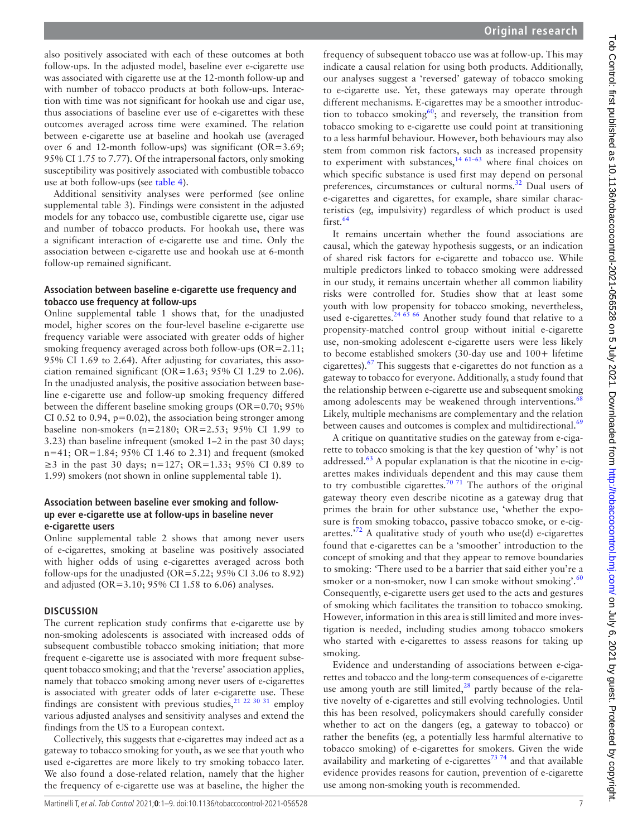also positively associated with each of these outcomes at both follow-ups. In the adjusted model, baseline ever e-cigarette use was associated with cigarette use at the 12-month follow-up and with number of tobacco products at both follow-ups. Interaction with time was not significant for hookah use and cigar use, thus associations of baseline ever use of e-cigarettes with these outcomes averaged across time were examined. The relation between e-cigarette use at baseline and hookah use (averaged over 6 and 12-month follow-ups) was significant (OR=3.69; 95% CI 1.75 to 7.77). Of the intrapersonal factors, only smoking susceptibility was positively associated with combustible tobacco use at both follow-ups (see [table](#page-5-0) 4).

Additional sensitivity analyses were performed (see [online](https://dx.doi.org/10.1136/tobaccocontrol-2021-056528)  [supplemental table 3](https://dx.doi.org/10.1136/tobaccocontrol-2021-056528)). Findings were consistent in the adjusted models for any tobacco use, combustible cigarette use, cigar use and number of tobacco products. For hookah use, there was a significant interaction of e-cigarette use and time. Only the association between e-cigarette use and hookah use at 6-month follow-up remained significant.

### **Association between baseline e-cigarette use frequency and tobacco use frequency at follow-ups**

[Online supplemental table 1](https://dx.doi.org/10.1136/tobaccocontrol-2021-056528) shows that, for the unadjusted model, higher scores on the four-level baseline e-cigarette use frequency variable were associated with greater odds of higher smoking frequency averaged across both follow-ups (OR=2.11; 95% CI 1.69 to 2.64). After adjusting for covariates, this association remained significant (OR=1.63; 95% CI 1.29 to 2.06). In the unadjusted analysis, the positive association between baseline e-cigarette use and follow-up smoking frequency differed between the different baseline smoking groups ( $OR=0.70$ ; 95% CI 0.52 to 0.94,  $p=0.02$ ), the association being stronger among baseline non-smokers (n=2180; OR=2.53; 95% CI 1.99 to 3.23) than baseline infrequent (smoked 1–2 in the past 30 days; n=41; OR=1.84; 95% CI 1.46 to 2.31) and frequent (smoked ≥3 in the past 30 days; n=127; OR=1.33; 95% CI 0.89 to 1.99) smokers (not shown in [online supplemental table 1\)](https://dx.doi.org/10.1136/tobaccocontrol-2021-056528).

### **Association between baseline ever smoking and followup ever e-cigarette use at follow-ups in baseline never e-cigarette users**

[Online supplemental table 2](https://dx.doi.org/10.1136/tobaccocontrol-2021-056528) shows that among never users of e-cigarettes, smoking at baseline was positively associated with higher odds of using e-cigarettes averaged across both follow-ups for the unadjusted (OR=5.22;  $95\%$  CI 3.06 to 8.92) and adjusted (OR=3.10; 95% CI 1.58 to 6.06) analyses.

### **DISCUSSION**

The current replication study confirms that e-cigarette use by non-smoking adolescents is associated with increased odds of subsequent combustible tobacco smoking initiation; that more frequent e-cigarette use is associated with more frequent subsequent tobacco smoking; and that the 'reverse' association applies, namely that tobacco smoking among never users of e-cigarettes is associated with greater odds of later e-cigarette use. These findings are consistent with previous studies,  $2^{12}$   $2^{230}$   $31$  employ various adjusted analyses and sensitivity analyses and extend the findings from the US to a European context.

Collectively, this suggests that e-cigarettes may indeed act as a gateway to tobacco smoking for youth, as we see that youth who used e-cigarettes are more likely to try smoking tobacco later. We also found a dose-related relation, namely that the higher the frequency of e-cigarette use was at baseline, the higher the

frequency of subsequent tobacco use was at follow-up. This may indicate a causal relation for using both products. Additionally, our analyses suggest a 'reversed' gateway of tobacco smoking to e-cigarette use. Yet, these gateways may operate through different mechanisms. E-cigarettes may be a smoother introduction to tobacco smoking<sup>60</sup>; and reversely, the transition from tobacco smoking to e-cigarette use could point at transitioning to a less harmful behaviour. However, both behaviours may also stem from common risk factors, such as increased propensity to experiment with substances, $14,61-63$  where final choices on which specific substance is used first may depend on personal preferences, circumstances or cultural norms.<sup>[32](#page-8-7)</sup> Dual users of e-cigarettes and cigarettes, for example, share similar characteristics (eg, impulsivity) regardless of which product is used  $first<sup>64</sup>$  $first<sup>64</sup>$  $first<sup>64</sup>$ 

It remains uncertain whether the found associations are causal, which the gateway hypothesis suggests, or an indication of shared risk factors for e-cigarette and tobacco use. While multiple predictors linked to tobacco smoking were addressed in our study, it remains uncertain whether all common liability risks were controlled for. Studies show that at least some youth with low propensity for tobacco smoking, nevertheless, used e-cigarettes.<sup>24 65</sup> 66 Another study found that relative to a propensity-matched control group without initial e-cigarette use, non-smoking adolescent e-cigarette users were less likely to become established smokers (30-day use and 100+ lifetime cigarettes).[67](#page-8-30) This suggests that e-cigarettes do not function as a gateway to tobacco for everyone. Additionally, a study found that the relationship between e-cigarette use and subsequent smoking among adolescents may be weakened through interventions.<sup>[68](#page-8-31)</sup> Likely, multiple mechanisms are complementary and the relation between causes and outcomes is complex and multidirectional.<sup>[69](#page-8-32)</sup>

A critique on quantitative studies on the gateway from e-cigarette to tobacco smoking is that the key question of 'why' is not addressed. $63$  A popular explanation is that the nicotine in e-cigarettes makes individuals dependent and this may cause them to try combustible cigarettes.<sup>[70 71](#page-8-34)</sup> The authors of the original gateway theory even describe nicotine as a gateway drug that primes the brain for other substance use, 'whether the exposure is from smoking tobacco, passive tobacco smoke, or e-cigarettes. $172$  $172$  A qualitative study of youth who use(d) e-cigarettes found that e-cigarettes can be a 'smoother' introduction to the concept of smoking and that they appear to remove boundaries to smoking: 'There used to be a barrier that said either you're a smoker or a non-smoker, now I can smoke without smoking'.<sup>[60](#page-8-27)</sup> Consequently, e-cigarette users get used to the acts and gestures of smoking which facilitates the transition to tobacco smoking. However, information in this area is still limited and more investigation is needed, including studies among tobacco smokers who started with e-cigarettes to assess reasons for taking up smoking.

Evidence and understanding of associations between e-cigarettes and tobacco and the long-term consequences of e-cigarette use among youth are still limited, $2^8$  partly because of the relative novelty of e-cigarettes and still evolving technologies. Until this has been resolved, policymakers should carefully consider whether to act on the dangers (eg, a gateway to tobacco) or rather the benefits (eg, a potentially less harmful alternative to tobacco smoking) of e-cigarettes for smokers. Given the wide availability and marketing of e-cigarettes<sup> $73,74$ </sup> and that available evidence provides reasons for caution, prevention of e-cigarette use among non-smoking youth is recommended.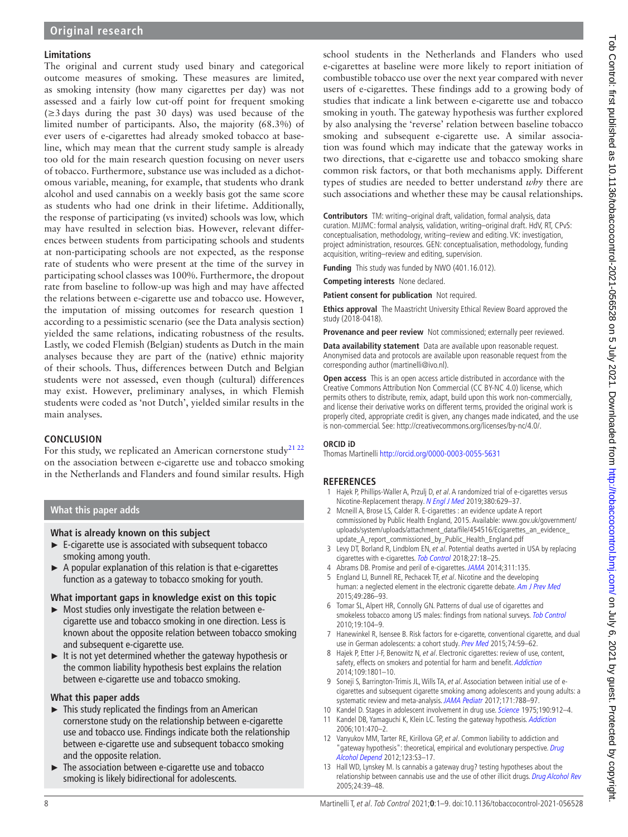# **Limitations**

The original and current study used binary and categorical outcome measures of smoking. These measures are limited, as smoking intensity (how many cigarettes per day) was not assessed and a fairly low cut-off point for frequent smoking (≥3days during the past 30 days) was used because of the limited number of participants. Also, the majority (68.3%) of ever users of e-cigarettes had already smoked tobacco at baseline, which may mean that the current study sample is already too old for the main research question focusing on never users of tobacco. Furthermore, substance use was included as a dichotomous variable, meaning, for example, that students who drank alcohol and used cannabis on a weekly basis got the same score as students who had one drink in their lifetime. Additionally, the response of participating (vs invited) schools was low, which may have resulted in selection bias. However, relevant differences between students from participating schools and students at non-participating schools are not expected, as the response rate of students who were present at the time of the survey in participating school classes was 100%. Furthermore, the dropout rate from baseline to follow-up was high and may have affected the relations between e-cigarette use and tobacco use. However, the imputation of missing outcomes for research question 1 according to a pessimistic scenario (see the Data analysis section) yielded the same relations, indicating robustness of the results. Lastly, we coded Flemish (Belgian) students as Dutch in the main analyses because they are part of the (native) ethnic majority of their schools. Thus, differences between Dutch and Belgian students were not assessed, even though (cultural) differences may exist. However, preliminary analyses, in which Flemish students were coded as 'not Dutch', yielded similar results in the main analyses.

# **CONCLUSION**

For this study, we replicated an American cornerstone study<sup>[21 22](#page-8-4)</sup> on the association between e-cigarette use and tobacco smoking in the Netherlands and Flanders and found similar results. High

# **What this paper adds**

# **What is already known on this subject**

- ► E-cigarette use is associated with subsequent tobacco smoking among youth.
- ► A popular explanation of this relation is that e-cigarettes function as a gateway to tobacco smoking for youth.

# **What important gaps in knowledge exist on this topic**

- ► Most studies only investigate the relation between ecigarette use and tobacco smoking in one direction. Less is known about the opposite relation between tobacco smoking and subsequent e-cigarette use.
- $\blacktriangleright$  It is not yet determined whether the gateway hypothesis or the common liability hypothesis best explains the relation between e-cigarette use and tobacco smoking.

# **What this paper adds**

- $\blacktriangleright$  This study replicated the findings from an American cornerstone study on the relationship between e-cigarette use and tobacco use. Findings indicate both the relationship between e-cigarette use and subsequent tobacco smoking and the opposite relation.
- ► The association between e-cigarette use and tobacco smoking is likely bidirectional for adolescents.

school students in the Netherlands and Flanders who used e-cigarettes at baseline were more likely to report initiation of combustible tobacco use over the next year compared with never users of e-cigarettes. These findings add to a growing body of studies that indicate a link between e-cigarette use and tobacco smoking in youth. The gateway hypothesis was further explored by also analysing the 'reverse' relation between baseline tobacco smoking and subsequent e-cigarette use. A similar association was found which may indicate that the gateway works in two directions, that e-cigarette use and tobacco smoking share common risk factors, or that both mechanisms apply. Different types of studies are needed to better understand *why* there are such associations and whether these may be causal relationships.

**Contributors** TM: writing–original draft, validation, formal analysis, data curation. MJJMC: formal analysis, validation, writing–original draft. HdV, RT, CPvS: conceptualisation, methodology, writing–review and editing. VK: investigation, project administration, resources. GEN: conceptualisation, methodology, funding acquisition, writing–review and editing, supervision.

**Funding** This study was funded by NWO (401.16.012).

**Competing interests** None declared.

**Patient consent for publication** Not required.

**Ethics approval** The Maastricht University Ethical Review Board approved the study (2018-0418).

**Provenance and peer review** Not commissioned; externally peer reviewed.

**Data availability statement** Data are available upon reasonable request. Anonymised data and protocols are available upon reasonable request from the corresponding author (martinelli@ivo.nl).

**Open access** This is an open access article distributed in accordance with the Creative Commons Attribution Non Commercial (CC BY-NC 4.0) license, which permits others to distribute, remix, adapt, build upon this work non-commercially, and license their derivative works on different terms, provided the original work is properly cited, appropriate credit is given, any changes made indicated, and the use is non-commercial. See: [http://creativecommons.org/licenses/by-nc/4.0/.](http://creativecommons.org/licenses/by-nc/4.0/)

### **ORCID iD**

Thomas Martinelli<http://orcid.org/0000-0003-0055-5631>

# **REFERENCES**

- <span id="page-7-0"></span>1 Hajek P, Phillips-Waller A, Przulj D, et al. A randomized trial of e-cigarettes versus Nicotine-Replacement therapy. [N Engl J Med](http://dx.doi.org/10.1056/NEJMoa1808779) 2019;380:629-37.
- <span id="page-7-1"></span>2 Mcneill A, Brose LS, Calder R. E-cigarettes : an evidence update A report commissioned by Public Health England, 2015. Available: [www.gov.uk/government/](www.gov.uk/government/uploads/system/uploads/attachment_data/file/454516/Ecigarettes_an_evidence_update_A_report_commissioned_by_Public_Health_England.pdf) [uploads/system/uploads/attachment\\_data/file/454516/Ecigarettes\\_an\\_evidence\\_](www.gov.uk/government/uploads/system/uploads/attachment_data/file/454516/Ecigarettes_an_evidence_update_A_report_commissioned_by_Public_Health_England.pdf) [update\\_A\\_report\\_commissioned\\_by\\_Public\\_Health\\_England.pdf](www.gov.uk/government/uploads/system/uploads/attachment_data/file/454516/Ecigarettes_an_evidence_update_A_report_commissioned_by_Public_Health_England.pdf)
- <span id="page-7-2"></span>3 Levy DT, Borland R, Lindblom EN, et al. Potential deaths averted in USA by replacing cigarettes with e-cigarettes. [Tob Control](http://dx.doi.org/10.1136/tobaccocontrol-2017-053759) 2018;27:18–25.
- 4 Abrams DB. Promise and peril of e-cigarettes. [JAMA](http://dx.doi.org/10.1001/jama.2013.285347) 2014;311:135.
- <span id="page-7-3"></span>5 England LJ, Bunnell RE, Pechacek TF, et al. Nicotine and the developing human: a neglected element in the electronic cigarette debate. [Am J Prev Med](http://dx.doi.org/10.1016/j.amepre.2015.01.015) 2015;49:286–93.
- <span id="page-7-4"></span>6 Tomar SL, Alpert HR, Connolly GN. Patterns of dual use of cigarettes and smokeless tobacco among US males: findings from national surveys. [Tob Control](http://dx.doi.org/10.1136/tc.2009.031070) 2010;19:104–9.
- 7 Hanewinkel R, Isensee B. Risk factors for e-cigarette, conventional cigarette, and dual use in German adolescents: a cohort study. [Prev Med](http://dx.doi.org/10.1016/j.ypmed.2015.03.006) 2015;74:59-62.
- <span id="page-7-5"></span>8 Hajek P, Etter J-F, Benowitz N, et al. Electronic cigarettes: review of use, content, safety, effects on smokers and potential for harm and benefit. [Addiction](http://dx.doi.org/10.1111/add.12659) 2014;109:1801–10.
- 9 Soneji S, Barrington-Trimis JL, Wills TA, et al. Association between initial use of ecigarettes and subsequent cigarette smoking among adolescents and young adults: a systematic review and meta-analysis. [JAMA Pediatr](http://dx.doi.org/10.1001/jamapediatrics.2017.1488) 2017;171:788–97.
- <span id="page-7-6"></span>10 Kandel D. Stages in adolescent involvement in drug use. [Science](http://dx.doi.org/10.1126/science.1188374) 1975;190:912-4.
- 11 Kandel DB, Yamaguchi K, Klein LC. Testing the gateway hypothesis. [Addiction](http://dx.doi.org/10.1111/j.1360-0443.2006.01426.x) 2006;101:470–2.
- 12 Vanyukov MM, Tarter RE, Kirillova GP, et al. Common liability to addiction and "gateway hypothesis": theoretical, empirical and evolutionary perspective. *Drug* [Alcohol Depend](http://dx.doi.org/10.1016/j.drugalcdep.2011.12.018) 2012;123:S3-17.
- <span id="page-7-7"></span>13 Hall WD, Lynskey M. Is cannabis a gateway drug? testing hypotheses about the relationship between cannabis use and the use of other illicit drugs. [Drug Alcohol Rev](http://dx.doi.org/10.1080/09595230500126698) 2005;24:39–48.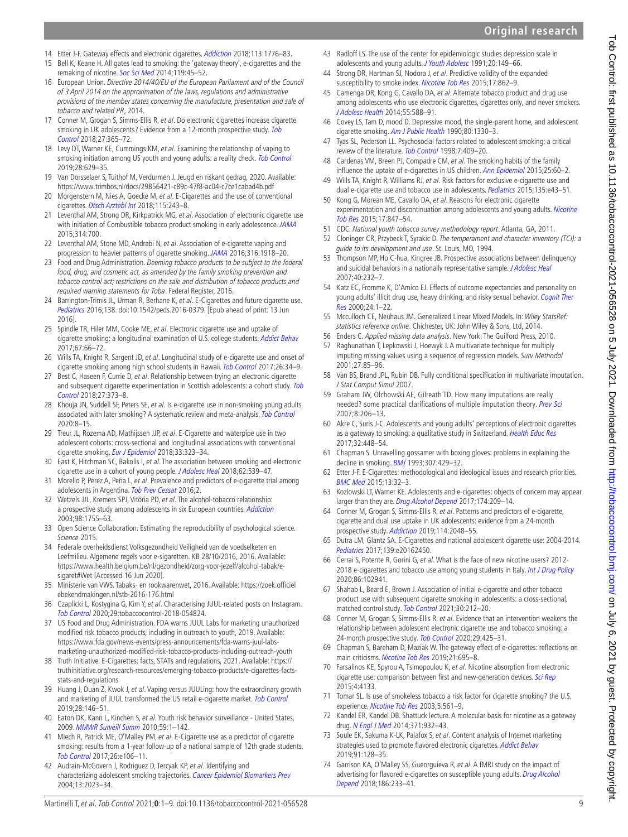**Original research**

- <span id="page-8-0"></span>14 Etter J-F. Gateway effects and electronic cigarettes. [Addiction](http://dx.doi.org/10.1111/add.13924) 2018;113:1776-83.
- <span id="page-8-1"></span>15 Bell K, Keane H. All gates lead to smoking: the 'gateway theory', e-cigarettes and the remaking of nicotine. [Soc Sci Med](http://dx.doi.org/10.1016/j.socscimed.2014.08.016) 2014;119:45-52.
- <span id="page-8-2"></span>16 European Union. Directive 2014/40/EU of the European Parliament and of the Council of 3 April 2014 on the approximation of the laws, regulations and administrative provisions of the member states concerning the manufacture, presentation and sale of tobacco and related PR, 2014.
- <span id="page-8-3"></span>17 Conner M, Grogan S, Simms-Ellis R, et al. Do electronic cigarettes increase cigarette smoking in UK adolescents? Evidence from a 12-month prospective study. Tob [Control](http://dx.doi.org/10.1136/tobaccocontrol-2016-053539) 2018;27:365–72.
- 18 Levy DT, Warner KE, Cummings KM, et al. Examining the relationship of vaping to smoking initiation among US youth and young adults: a reality check. [Tob Control](http://dx.doi.org/10.1136/tobaccocontrol-2018-054446) 2019;28:629–35.
- <span id="page-8-11"></span>19 Van Dorsselaer S, Tuithof M, Verdurmen J. Jeugd en riskant gedrag, 2020. Available: <https://www.trimbos.nl/docs/29856421-c89c-47f8-ac04-c7ce1cabad4b.pdf>
- 20 Morgenstern M, Nies A, Goecke M, et al. E-Cigarettes and the use of conventional cigarettes. [Dtsch Arztebl Int](http://dx.doi.org/10.3238/arztebl.2018.0243) 2018;115:243-8.
- <span id="page-8-4"></span>21 Leventhal AM, Strong DR, Kirkpatrick MG, et al. Association of electronic cigarette use with initiation of Combustible tobacco product smoking in early adolescence. [JAMA](http://dx.doi.org/10.1001/jama.2015.8950) 2015;314:700.
- <span id="page-8-23"></span>22 Leventhal AM, Stone MD, Andrabi N, et al. Association of e-cigarette vaping and progression to heavier patterns of cigarette smoking. [JAMA](http://dx.doi.org/10.1001/jama.2016.14649) 2016;316:1918–20.
- <span id="page-8-5"></span>23 Food and Drug Administration. Deeming tobacco products to be subject to the federal food, drug, and cosmetic act, as amended by the family smoking prevention and tobacco control act; restrictions on the sale and distribution of tobacco products and required warning statements for Toba. Federal Register, 2016.
- <span id="page-8-29"></span>24 Barrington-Trimis JL, Urman R, Berhane K, et al. E-Cigarettes and future cigarette use. [Pediatrics](http://dx.doi.org/10.1542/peds.2016-0379) 2016;138. doi:10.1542/peds.2016-0379. [Epub ahead of print: 13 Jun 2016].
- 25 Spindle TR, Hiler MM, Cooke ME, et al. Electronic cigarette use and uptake of cigarette smoking: a longitudinal examination of U.S. college students. [Addict Behav](http://dx.doi.org/10.1016/j.addbeh.2016.12.009) 2017;67:66–72.
- 26 Wills TA, Knight R, Sargent JD, et al. Longitudinal study of e-cigarette use and onset of cigarette smoking among high school students in Hawaii. [Tob Control](http://dx.doi.org/10.1136/tobaccocontrol-2015-052705) 2017;26:34-9.
- 27 Best C, Haseen F, Currie D, et al. Relationship between trying an electronic cigarette and subsequent cigarette experimentation in Scottish adolescents: a cohort study. Tob [Control](http://dx.doi.org/10.1136/tobaccocontrol-2017-053691) 2018;27:373–8.
- <span id="page-8-36"></span>28 Khouja JN, Suddell SF, Peters SE, et al. Is e-cigarette use in non-smoking young adults associated with later smoking? A systematic review and meta-analysis. [Tob Control](http://dx.doi.org/10.1136/tobaccocontrol-2019-055433) 2020:8–15.
- <span id="page-8-6"></span>29 Treur JL, Rozema AD, Mathijssen JJP, et al. E-Cigarette and waterpipe use in two adolescent cohorts: cross-sectional and longitudinal associations with conventional cigarette smoking. [Eur J Epidemiol](http://dx.doi.org/10.1007/s10654-017-0345-9) 2018;33:323-34.
- 30 East K, Hitchman SC, Bakolis I, et al. The association between smoking and electronic cigarette use in a cohort of young people. [J Adolesc Heal](http://dx.doi.org/10.1016/j.jadohealth.2017.11.301) 2018;62:539–47.
- 31 Morello P, Pérez A, Peña L, et al. Prevalence and predictors of e-cigarette trial among adolescents in Argentina. [Tob Prev Cessat](http://dx.doi.org/10.18332/tpc/66950) 2016;2.
- <span id="page-8-7"></span>32 Wetzels JJL, Kremers SPJ, Vitória PD, et al. The alcohol-tobacco relationship: a prospective study among adolescents in six European countries. [Addiction](http://dx.doi.org/10.1111/j.1360-0443.2003.00553.x) 2003;98:1755–63.
- <span id="page-8-8"></span>33 Open Science Collaboration. Estimating the reproducibility of psychological science. Science 2015.
- <span id="page-8-9"></span>34 Federale overheidsdienst Volksgezondheid Veiligheid van de voedselketen en Leefmilieu. Algemene regels voor e-sigaretten. KB 28/10/2016, 2016. Available: [https://www.health.belgium.be/nl/gezondheid/zorg-voor-jezelf/alcohol-tabak/e](https://www.health.belgium.be/nl/gezondheid/zorg-voor-jezelf/alcohol-tabak/e-sigaret#Wet)[sigaret#Wet](https://www.health.belgium.be/nl/gezondheid/zorg-voor-jezelf/alcohol-tabak/e-sigaret#Wet) [Accessed 16 Jun 2020].
- 35 Ministerie van VWS. Tabaks- en rookwarenwet, 2016. Available: [https://zoek.officiel](https://zoek.officielebekendmakingen.nl/stb-2016-176.html) [ebekendmakingen.nl/stb-2016-176.html](https://zoek.officielebekendmakingen.nl/stb-2016-176.html)
- <span id="page-8-10"></span>36 Czaplicki L, Kostygina G, Kim Y, et al. Characterising JUUL-related posts on Instagram. [Tob Control](http://dx.doi.org/10.1136/tobaccocontrol-2018-054824) 2020;29:tobaccocontrol-2018-054824.
- 37 US Food and Drug Administration. FDA warns JUUL Labs for marketing unauthorized modified risk tobacco products, including in outreach to youth, 2019. Available: [https://www.fda.gov/news-events/press-announcements/fda-warns-juul-labs](https://www.fda.gov/news-events/press-announcements/fda-warns-juul-labs-marketing-unauthorized-modified-risk-tobacco-products-including-outreach-youth)[marketing-unauthorized-modified-risk-tobacco-products-including-outreach-youth](https://www.fda.gov/news-events/press-announcements/fda-warns-juul-labs-marketing-unauthorized-modified-risk-tobacco-products-including-outreach-youth)
- 38 Truth Initiative. E-Cigarettes: facts, STATs and regulations, 2021. Available: [https://](https://truthinitiative.org/research-resources/emerging-tobacco-products/e-cigarettes-facts-stats-and-regulations) [truthinitiative.org/research-resources/emerging-tobacco-products/e-cigarettes-facts](https://truthinitiative.org/research-resources/emerging-tobacco-products/e-cigarettes-facts-stats-and-regulations)[stats-and-regulations](https://truthinitiative.org/research-resources/emerging-tobacco-products/e-cigarettes-facts-stats-and-regulations)
- 39 Huang J, Duan Z, Kwok J, et al. Vaping versus JUULing: how the extraordinary growth and marketing of JUUL transformed the US retail e-cigarette market. [Tob Control](http://dx.doi.org/10.1136/tobaccocontrol-2018-054382) 2019;28:146–51.
- <span id="page-8-12"></span>40 Eaton DK, Kann L, Kinchen S, et al. Youth risk behavior surveillance - United States, 2009. [MMWR Surveill Summ](http://www.ncbi.nlm.nih.gov/pubmed/20520591) 2010;59:1–142.
- <span id="page-8-13"></span>41 Miech R, Patrick ME, O'Malley PM, et al. E-Cigarette use as a predictor of cigarette smoking: results from a 1-year follow-up of a national sample of 12th grade students. [Tob Control](http://dx.doi.org/10.1136/tobaccocontrol-2016-053291) 2017;26:e106–11.
- 42 Audrain-McGovern J, Rodriguez D, Tercyak KP, et al. Identifying and characterizing adolescent smoking trajectories. [Cancer Epidemiol Biomarkers Prev](http://www.ncbi.nlm.nih.gov/pubmed/15598757) 2004;13:2023–34.
- <span id="page-8-17"></span>43 Radloff LS. The use of the center for epidemiologic studies depression scale in adolescents and young adults. [J Youth Adolesc](http://dx.doi.org/10.1007/BF01537606) 1991;20:149–66.
- <span id="page-8-20"></span>44 Strong DR, Hartman SJ, Nodora J, et al. Predictive validity of the expanded susceptibility to smoke index. [Nicotine Tob Res](http://dx.doi.org/10.1093/ntr/ntu254) 2015;17:862-9.
- <span id="page-8-14"></span>45 Camenga DR, Kong G, Cavallo DA, et al. Alternate tobacco product and drug use among adolescents who use electronic cigarettes, cigarettes only, and never smokers. [J Adolesc Health](http://dx.doi.org/10.1016/j.jadohealth.2014.06.016) 2014;55:588–91.
- <span id="page-8-15"></span>46 Covey LS, Tam D, mood D. Depressive mood, the single-parent home, and adolescent cigarette smoking. [Am J Public Health](http://dx.doi.org/10.2105/AJPH.80.11.1330) 1990;80:1330–3.
- 47 Tyas SL, Pederson LL. Psychosocial factors related to adolescent smoking: a critical review of the literature. [Tob Control](http://dx.doi.org/10.1136/tc.7.4.409) 1998;7:409–20.
- 48 Cardenas VM, Breen PJ, Compadre CM, et al. The smoking habits of the family influence the uptake of e-cigarettes in US children. [Ann Epidemiol](http://dx.doi.org/10.1016/j.annepidem.2014.09.013) 2015:25:60-2.
- 49 Wills TA, Knight R, Williams RJ, et al. Risk factors for exclusive e-cigarette use and dual e-cigarette use and tobacco use in adolescents. [Pediatrics](http://dx.doi.org/10.1542/peds.2014-0760) 2015;135:e43-51.
- 50 Kong G, Morean ME, Cavallo DA, et al. Reasons for electronic cigarette experimentation and discontinuation among adolescents and young adults. Nicotine [Tob Res](http://dx.doi.org/10.1093/ntr/ntu257) 2015;17:847–54.
- <span id="page-8-16"></span>51 CDC. National youth tobacco survey methodology report. Atlanta, GA, 2011.
- <span id="page-8-18"></span>52 Cloninger CR, Przybeck T, Syrakic D. The temperament and character inventory (TCI): a guide to its development and use. St. Louis, MO, 1994.
- <span id="page-8-19"></span>53 Thompson MP, Ho C-hua, Kingree JB. Prospective associations between delinquency and suicidal behaviors in a nationally representative sample. [J Adolesc Heal](http://dx.doi.org/10.1016/j.jadohealth.2006.10.016) 2007;40:232–7.
- <span id="page-8-21"></span>54 Katz EC, Fromme K, D'Amico EJ. Effects of outcome expectancies and personality on young adults' illicit drug use, heavy drinking, and risky sexual behavior. Cognit Ther [Res](http://dx.doi.org/10.1023/A:1005460107337) 2000;24:1–22.
- <span id="page-8-22"></span>55 Mcculloch CE, Neuhaus JM. Generalized Linear Mixed Models. In: Wiley StatsRef: statistics reference online. Chichester, UK: John Wiley & Sons, Ltd, 2014.
- <span id="page-8-24"></span>56 Enders C. Applied missing data analysis. New York: The Guilford Press, 2010.
- <span id="page-8-25"></span>57 Raghunathan T, Lepkowski J, Hoewyk J. A multivariate technique for multiply imputing missing values using a sequence of regression models. Surv Methodol 2001;27:85–96.
- 58 Van BS, Brand JPL, Rubin DB. Fully conditional specification in multivariate imputation. J Stat Comput Simul 2007.
- <span id="page-8-26"></span>59 Graham JW, Olchowski AE, Gilreath TD. How many imputations are really needed? some practical clarifications of multiple imputation theory. [Prev Sci](http://dx.doi.org/10.1007/s11121-007-0070-9) 2007;8:206–13.
- <span id="page-8-27"></span>60 Akre C, Suris J-C. Adolescents and young adults' perceptions of electronic cigarettes as a gateway to smoking: a qualitative study in Switzerland. [Health Educ Res](http://dx.doi.org/10.1093/her/cyx054) 2017;32:448–54.
- 61 Chapman S. Unravelling gossamer with boxing gloves: problems in explaining the decline in smoking. [BMJ](http://dx.doi.org/10.1136/bmj.307.6901.429) 1993;307:429–32.
- 62 Etter J-F. E-Cigarettes: methodological and ideological issues and research priorities. [BMC Med](http://dx.doi.org/10.1186/s12916-014-0264-5) 2015;13:32–3.
- <span id="page-8-33"></span>63 Kozlowski LT, Warner KE. Adolescents and e-cigarettes: objects of concern may appear larger than they are. [Drug Alcohol Depend](http://dx.doi.org/10.1016/j.drugalcdep.2017.01.001) 2017;174:209-14.
- <span id="page-8-28"></span>64 Conner M, Grogan S, Simms-Ellis R, et al. Patterns and predictors of e-cigarette, cigarette and dual use uptake in UK adolescents: evidence from a 24-month prospective study. [Addiction](http://dx.doi.org/10.1111/add.14723) 2019;114:2048-55.
- 65 Dutra LM, Glantz SA. E-Cigarettes and national adolescent cigarette use: 2004-2014. [Pediatrics](http://dx.doi.org/10.1542/peds.2016-2450) 2017;139:e20162450.
- 66 Cerrai S, Potente R, Gorini G, et al. What is the face of new nicotine users? 2012- 2018 e-cigarettes and tobacco use among young students in Italy. [Int J Drug Policy](http://dx.doi.org/10.1016/j.drugpo.2020.102941) 2020;86:102941.
- <span id="page-8-30"></span>67 Shahab L, Beard E, Brown J. Association of initial e-cigarette and other tobacco product use with subsequent cigarette smoking in adolescents: a cross-sectional, matched control study. [Tob Control](http://dx.doi.org/10.1136/tobaccocontrol-2019-055283) 2021;30:212–20.
- <span id="page-8-31"></span>68 Conner M, Grogan S, Simms-Ellis R, et al. Evidence that an intervention weakens the relationship between adolescent electronic cigarette use and tobacco smoking: a 24-month prospective study. [Tob Control](http://dx.doi.org/10.1136/tobaccocontrol-2018-054905) 2020;29:425-31.
- <span id="page-8-32"></span>69 Chapman S, Bareham D, Maziak W. The gateway effect of e-cigarettes: reflections on main criticisms. [Nicotine Tob Res](http://dx.doi.org/10.1093/ntr/nty067) 2019;21:695-8.
- <span id="page-8-34"></span>70 Farsalinos KE, Spyrou A, Tsimopoulou K, et al. Nicotine absorption from electronic cigarette use: comparison between first and new-generation devices. [Sci Rep](http://dx.doi.org/10.1038/srep04133) 2015;4:4133.
- 71 Tomar SL. Is use of smokeless tobacco a risk factor for cigarette smoking? the U.S. experience. [Nicotine Tob Res](http://dx.doi.org/10.1080/1462220031000118667) 2003;5:561-9.
- <span id="page-8-35"></span>72 Kandel ER, Kandel DB. Shattuck lecture. A molecular basis for nicotine as a gateway drug. [N Engl J Med](http://dx.doi.org/10.1056/NEJMsa1405092) 2014;371:932–43.
- <span id="page-8-37"></span>73 Soule EK, Sakuma K-LK, Palafox S, et al. Content analysis of Internet marketing strategies used to promote flavored electronic cigarettes. [Addict Behav](http://dx.doi.org/10.1016/j.addbeh.2018.11.012) 2019;91:128–35.
- 74 Garrison KA, O'Malley SS, Gueorguieva R, et al. A fMRI study on the impact of advertising for flavored e-cigarettes on susceptible young adults. Drug Alcohol [Depend](http://dx.doi.org/10.1016/j.drugalcdep.2018.01.026) 2018;186:233–41.

# Tob Control: first published as 10.1136/tobaccocontrol-2021-055528 on 5 July 2021. Downloaded from http://tobaccocontrol.bmj.com/ on July 6, 2021 by guest. Protected by copyright. Tob Control: first published as 10.1136/tobaccocontrol-2021-05628 on 5 July 2021. Downloaded from <http://tobaccocontrol.bmj.com/> on July 6, 2021 by guest. Protected by copyright.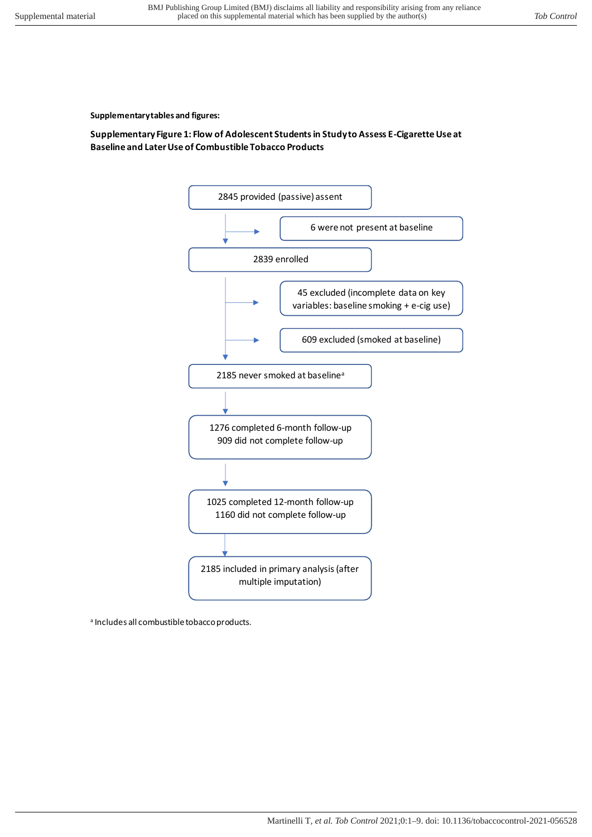**Supplementary tables and figures:** 

# **Supplementary Figure 1: Flow of Adolescent Students in Study to Assess E-Cigarette Use at Baseline and Later Use of Combustible Tobacco Products**



<sup>a</sup> Includes all combustible tobacco products.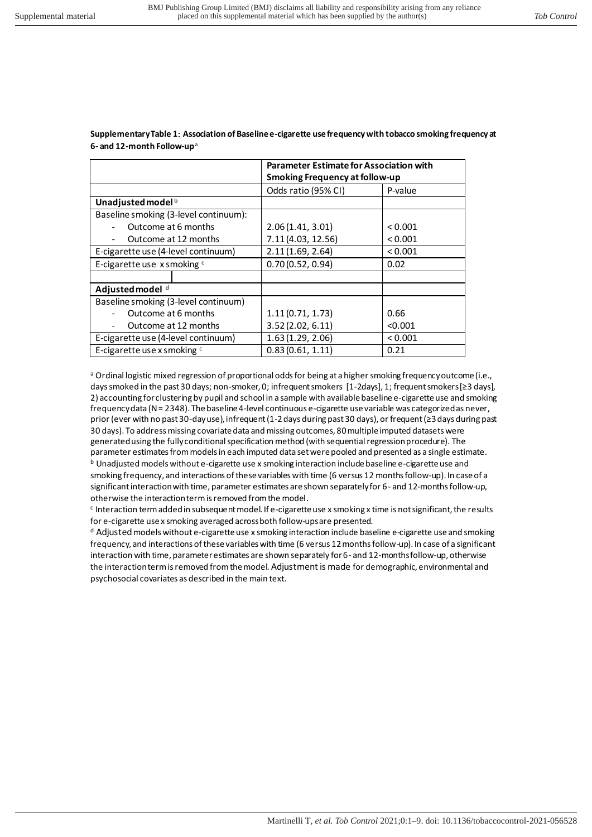|                                       | <b>Parameter Estimate for Association with</b> |         |  |  |  |  |  |
|---------------------------------------|------------------------------------------------|---------|--|--|--|--|--|
|                                       | Smoking Frequency at follow-up                 |         |  |  |  |  |  |
|                                       | Odds ratio (95% CI)                            | P-value |  |  |  |  |  |
| Unadjusted model <sup>b</sup>         |                                                |         |  |  |  |  |  |
| Baseline smoking (3-level continuum): |                                                |         |  |  |  |  |  |
| Outcome at 6 months                   | 2.06(1.41, 3.01)                               | < 0.001 |  |  |  |  |  |
| Outcome at 12 months                  | 7.11 (4.03, 12.56)                             | < 0.001 |  |  |  |  |  |
| E-cigarette use (4-level continuum)   | 2.11(1.69, 2.64)                               | < 0.001 |  |  |  |  |  |
| E-cigarette use x smoking c           | 0.70(0.52, 0.94)                               | 0.02    |  |  |  |  |  |
|                                       |                                                |         |  |  |  |  |  |
| Adjusted model <sup>d</sup>           |                                                |         |  |  |  |  |  |
| Baseline smoking (3-level continuum)  |                                                |         |  |  |  |  |  |
| Outcome at 6 months                   | 1.11(0.71, 1.73)                               | 0.66    |  |  |  |  |  |
| Outcome at 12 months                  | 3.52(2.02, 6.11)                               | < 0.001 |  |  |  |  |  |
| E-cigarette use (4-level continuum)   | 1.63(1.29, 2.06)                               | < 0.001 |  |  |  |  |  |
| E-cigarette use x smoking c           | 0.83(0.61, 1.11)                               | 0.21    |  |  |  |  |  |

**Supplementary Table 1**: **Association of Baseline e-cigarette use frequency with tobacco smoking frequency at 6- and 12-month Follow-up** <sup>a</sup>

a Ordinal logistic mixed regression of proportional odds for being at a higher smoking frequency outcome (i.e., days smoked in the past 30 days; non-smoker, 0; infrequent smokers [1-2days], 1; frequent smokers [≥3 days], 2) accounting for clustering by pupil and school in a sample with available baseline e-cigarette use and smoking frequency data (N = 2348). The baseline 4-level continuous e-cigarette use variable was categorized as never, prior (ever with no past 30-day use), infrequent (1-2 days during past 30 days), or frequent (≥3 days during past 30 days). To address missing covariate data and missing outcomes, 80 multiple imputed datasets were generated using the fully conditional specification method (with sequential regression procedure). The parameter estimates from models in each imputed data set were pooled and presented as a single estimate.  $<sup>b</sup>$  Unadjusted models without e-cigarette use x smoking interaction include baseline e-cigarette use and</sup> smoking frequency, and interactions of these variables with time (6 versus 12 months follow-up). In case of a significant interaction with time, parameter estimates are shown separately for 6- and 12-months follow-up, otherwise the interaction term is removed from the model.

<sup>c</sup> Interaction term added in subsequent model. If e-cigarette use x smoking x time is not significant, the results for e-cigarette use x smoking averaged across both follow-ups are presented.

d Adjusted models without e-cigarette use x smoking interaction include baseline e-cigarette use and smoking frequency, and interactions of these variables with time (6 versus 12 months follow-up). In case of a significant interaction with time, parameter estimates are shown separately for 6- and 12-months follow-up, otherwise the interaction term is removed from the model. Adjustment is made for demographic, environmental and psychosocial covariates as described in the main text.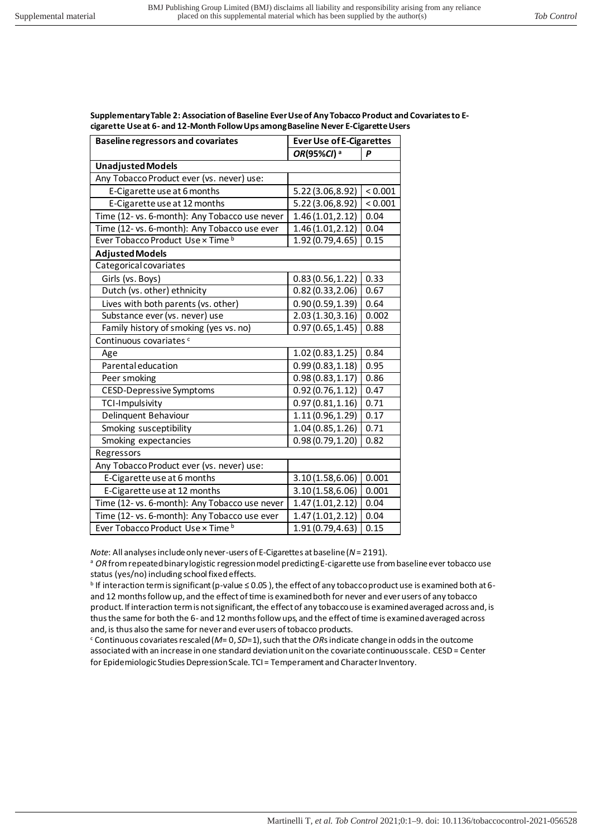**Supplementary Table 2: Association of Baseline Ever Use of Any Tobacco Product and Covariates to Ecigarette Use at 6- and 12-Month Follow Ups among Baseline Never E-Cigarette Users** 

| <b>Baseline regressors and covariates</b>     | <b>Ever Use of E-Cigarettes</b> |         |  |  |  |
|-----------------------------------------------|---------------------------------|---------|--|--|--|
|                                               | OR(95%CI) <sup>a</sup>          | P       |  |  |  |
| <b>Unadjusted Models</b>                      |                                 |         |  |  |  |
| Any Tobacco Product ever (vs. never) use:     |                                 |         |  |  |  |
| E-Cigarette use at 6 months                   | 5.22 (3.06,8.92)                | < 0.001 |  |  |  |
| E-Cigarette use at 12 months                  | 5.22 (3.06,8.92)                | < 0.001 |  |  |  |
| Time (12- vs. 6-month): Any Tobacco use never | 1.46(1.01, 2.12)                | 0.04    |  |  |  |
| Time (12- vs. 6-month): Any Tobacco use ever  | 1.46 (1.01, 2.12)               | 0.04    |  |  |  |
| Ever Tobacco Product Use x Time b             | 1.92 (0.79,4.65)                | 0.15    |  |  |  |
| <b>Adjusted Models</b>                        |                                 |         |  |  |  |
| Categorical covariates                        |                                 |         |  |  |  |
| Girls (vs. Boys)                              | 0.83(0.56, 1.22)                | 0.33    |  |  |  |
| Dutch (vs. other) ethnicity                   | 0.82(0.33, 2.06)                | 0.67    |  |  |  |
| Lives with both parents (vs. other)           | 0.90(0.59, 1.39)                | 0.64    |  |  |  |
| Substance ever (vs. never) use                | 2.03(1.30, 3.16)                | 0.002   |  |  |  |
| Family history of smoking (yes vs. no)        | 0.97(0.65, 1.45)                | 0.88    |  |  |  |
| Continuous covariates <sup>c</sup>            |                                 |         |  |  |  |
| Age                                           | 1.02(0.83, 1.25)                | 0.84    |  |  |  |
| Parental education                            | 0.99(0.83, 1.18)                | 0.95    |  |  |  |
| Peer smoking                                  | 0.98(0.83, 1.17)                | 0.86    |  |  |  |
| <b>CESD-Depressive Symptoms</b>               | 0.92(0.76, 1.12)                | 0.47    |  |  |  |
| TCI-Impulsivity                               | 0.97(0.81, 1.16)                | 0.71    |  |  |  |
| Delinquent Behaviour                          | 1.11(0.96, 1.29)                | 0.17    |  |  |  |
| Smoking susceptibility                        | 1.04(0.85, 1.26)                | 0.71    |  |  |  |
| Smoking expectancies                          | 0.98(0.79, 1.20)                | 0.82    |  |  |  |
| Regressors                                    |                                 |         |  |  |  |
| Any Tobacco Product ever (vs. never) use:     |                                 |         |  |  |  |
| E-Cigarette use at 6 months                   | 3.10(1.58, 6.06)                | 0.001   |  |  |  |
| E-Cigarette use at 12 months                  | 3.10(1.58, 6.06)                | 0.001   |  |  |  |
| Time (12- vs. 6-month): Any Tobacco use never | 1.47(1.01, 2.12)                | 0.04    |  |  |  |
| Time (12- vs. 6-month): Any Tobacco use ever  | 1.47 (1.01, 2.12)               | 0.04    |  |  |  |
| Ever Tobacco Product Use x Time b             | 1.91 (0.79,4.63)                | 0.15    |  |  |  |

*Note*: All analyses include only never-users of E-Cigarettes at baseline (*N* = 2191).

a *OR* from repeated binary logistic regression model predicting E-cigarette use from baseline ever tobacco use status (yes/no) including school fixed effects.

b If interaction term is significant (p-value ≤ 0.05 ), the effect of any tobacco product use is examined both at 6 and 12 months follow up, and the effect of time is examined both for never and ever users of any tobacco product. If interaction term is not significant, the effect of any tobacco use is examined averaged across and, is thus the same for both the 6- and 12 months follow ups, and the effect of time is examined averaged across and, is thus also the same for never and ever users of tobacco products.

c Continuous covariates rescaled (*M*= 0, *SD*=1), such that the *OR*s indicate change in odds in the outcome associated with an increase in one standard deviation unit on the covariate continuous scale. CESD = Center for Epidemiologic Studies Depression Scale. TCI = Temperament and Character Inventory.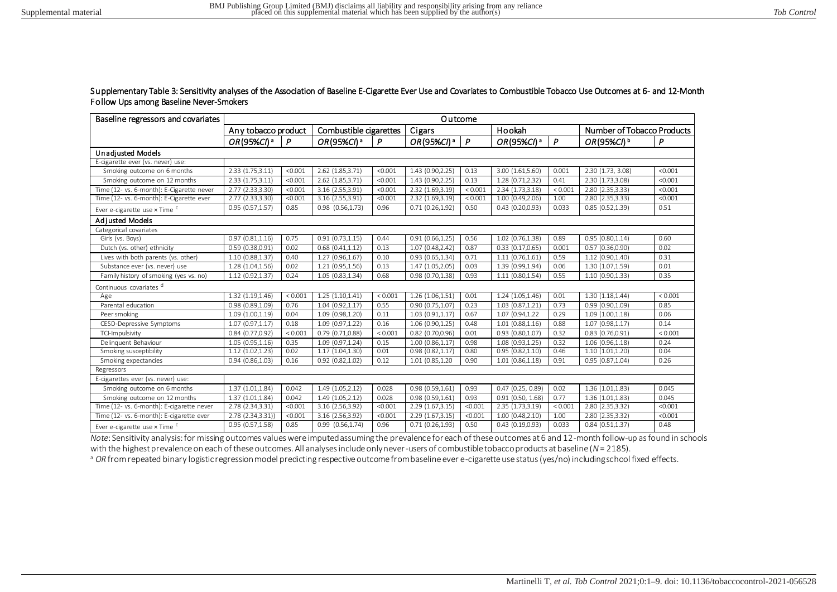### Supplementary Table 3: Sensitivity analyses of the Association of Baseline E-Cigarette Ever Use and Covariates to Combustible Tobacco Use Outcomes at 6- and 12-Month Follow Ups among Baseline Never-Smokers

| Baseline regressors and covariates        | Outcome                |              |                        |         |                        |              |                                |         |                            |         |
|-------------------------------------------|------------------------|--------------|------------------------|---------|------------------------|--------------|--------------------------------|---------|----------------------------|---------|
|                                           | Any tobacco product    |              | Combustible cigarettes |         | Cigars                 |              | Hookah                         |         | Number of Tobacco Products |         |
|                                           | OR(95%CI) <sup>a</sup> | $\mathsf{P}$ | OR(95%CI) <sup>a</sup> | P       | OR(95%CI) <sup>a</sup> | $\mathsf{P}$ | OR(95%CI) <sup>a</sup>         | P       | OR(95%CI) b                | P       |
| <b>Unadiusted Models</b>                  |                        |              |                        |         |                        |              |                                |         |                            |         |
| E-cigarette ever (vs. never) use:         |                        |              |                        |         |                        |              |                                |         |                            |         |
| Smoking outcome on 6 months               | 2.33 (1.75,3.11)       | < 0.001      | 2.62 (1.85,3.71)       | < 0.001 | 1.43 (0.90,2.25)       | 0.13         | 3.00 (1.61,5.60)               | 0.001   | 2.30 (1.73, 3.08)          | < 0.001 |
| Smoking outcome on 12 months              | 2.33 (1.75,3.11)       | < 0.001      | 2.62 (1.85,3.71)       | < 0.001 | 1.43 (0.90,2.25)       | 0.13         | 1.28 (0.71,2.32)               | 0.41    | 2.30 (1.73,3.08)           | < 0.001 |
| Time (12- vs. 6-month): E-Cigarette never | 2.77 (2.33,3.30)       | < 0.001      | 3.16 (2.55,3.91)       | < 0.001 | 2.32 (1.69,3.19)       | < 0.001      | 2.34 (1.73,3.18)               | < 0.001 | 2.80 (2.35,3.33)           | < 0.001 |
| Time (12- vs. 6-month): E-Cigarette ever  | 2.77 (2.33,3.30)       | < 0.001      | 3.16 (2.55,3.91)       | < 0.001 | 2.32 (1.69,3.19)       | < 0.001      | 1.00 (0.49,2.06)               | 1.00    | 2.80 (2.35,3.33)           | < 0.001 |
| Ever e-cigarette use x Time <sup>c</sup>  | 0.95(0.57, 1.57)       | 0.85         | $0.98$ $(0.56, 1.73)$  | 0.96    | 0.71(0.26, 1.92)       | 0.50         | $\overline{0.43}$ (0.20,0.93)  | 0.033   | 0.85(0.52, 1.39)           | 0.51    |
| <b>Adiusted Models</b>                    |                        |              |                        |         |                        |              |                                |         |                            |         |
| Categorical covariates                    |                        |              |                        |         |                        |              |                                |         |                            |         |
| Girls (vs. Boys)                          | 0.97(0.81, 1.16)       | 0.75         | 0.91(0.73, 1.15)       | 0.44    | 0.91(0.66, 1.25)       | 0.56         | 1.02(0.76, 1.38)               | 0.89    | 0.95(0.80, 1.14)           | 0.60    |
| Dutch (vs. other) ethnicity               | 0.59(0.38, 0.91)       | 0.02         | 0.68(0.41, 1.12)       | 0.13    | 1.07(0.48, 2.42)       | 0.87         | 0.33(0.17, 0.65)               | 0.001   | 0.57(0.36, 0.90)           | 0.02    |
| Lives with both parents (vs. other)       | 1.10 (0.88,1.37)       | 0.40         | 1.27 (0.96,1.67)       | 0.10    | 0.93(0.65, 1.34)       | 0.71         | 1.11(0.76, 1.61)               | 0.59    | 1.12 (0.90,1.40)           | 0.31    |
| Substance ever (vs. never) use            | 1.28 (1.04,1.56)       | 0.02         | 1.21 (0.95,1.56)       | 0.13    | 1.47 (1.05,2.05)       | 0.03         | 1.39 (0.99,1.94)               | 0.06    | 1.30 (1.07,1.59)           | 0.01    |
| Family history of smoking (yes vs. no)    | 1.12 (0.92,1.37)       | 0.24         | 1.05(0.83, 1.34)       | 0.68    | 0.98(0.70, 1.38)       | 0.93         | 1.11(0.80, 1.54)               | 0.55    | 1.10(0.90, 1.33)           | 0.35    |
| Continuous covariates d                   |                        |              |                        |         |                        |              |                                |         |                            |         |
| Age                                       | 1.32 (1.19,1.46)       | < 0.001      | 1.25(1.10, 1.41)       | < 0.001 | 1.26(1.06, 1.51)       | 0.01         | 1.24(1.05, 1.46)               | 0.01    | 1.30(1.18, 1.44)           | < 0.001 |
| Parental education                        | 0.98(0.89, 1.09)       | 0.76         | 1.04(0.92, 1.17)       | 0.55    | 0.90(0.75, 1.07)       | 0.23         | 1.03(0.87, 1.21)               | 0.73    | 0.99(0.90, 1.09)           | 0.85    |
| Peer smoking                              | 1.09(1.00, 1.19)       | 0.04         | 1.09 (0.98,1.20)       | 0.11    | 1.03(0.91, 1.17)       | 0.67         | 1.07 (0.94,1.22)               | 0.29    | 1.09(1.00, 1.18)           | 0.06    |
| CESD-Depressive Symptoms                  | 1.07(0.97, 1.17)       | 0.18         | 1.09 (0.97,1.22)       | 0.16    | 1.06 (0.90,1.25)       | 0.48         | 1.01(0.88, 1.16)               | 0.88    | 1.07 (0.98,1.17)           | 0.14    |
| TCI-Impulsivity                           | 0.84(0.77, 0.92)       | < 0.001      | 0.79 (0.71,0.88)       | < 0.001 | 0.82 (0.70,0.96)       | 0.01         | 0.93 (0.80,1.07)               | 0.32    | 0.83(0.76, 0.91)           | < 0.001 |
| Delinguent Behaviour                      | 1.05 (0.95,1.16)       | 0.35         | 1.09 (0.97,1.24)       | 0.15    | 1.00(0.86, 1.17)       | 0.98         | 1.08 (0.93,1.25)               | 0.32    | 1.06 (0.96,1.18)           | 0.24    |
| Smoking susceptibility                    | 1.12(1.02, 1.23)       | 0.02         | 1.17(1.04, 1.30)       | 0.01    | 0.98(0.82, 1.17)       | 0.80         | 0.95(0.82, 1.10)               | 0.46    | 1.10(1.01, 1.20)           | 0.04    |
| Smoking expectancies                      | 0.94(0.86, 1.03)       | 0.16         | 0.92(0.82, 1.02)       | 0.12    | 1.01 (0.85,1.20        | 0.90         | 1.01(0.86, 1.18)               | 0.91    | 0.95(0.87, 1.04)           | 0.26    |
| Regressors                                |                        |              |                        |         |                        |              |                                |         |                            |         |
| E-cigarettes ever (vs. never) use:        |                        |              |                        |         |                        |              |                                |         |                            |         |
| Smoking outcome on 6 months               | 1.37 (1.01,1.84)       | 0.042        | 1.49 (1.05,2.12)       | 0.028   | 0.98(0.59, 1.61)       | 0.93         | 0.47 (0.25, 0.89)              | 0.02    | 1.36(1.01, 1.83)           | 0.045   |
| Smoking outcome on 12 months              | 1.37(1.01, 1.84)       | 0.042        | 1.49 (1.05,2.12)       | 0.028   | 0.98(0.59, 1.61)       | 0.93         | $\overline{0.91}$ (0.50, 1.68) | 0.77    | 1.36 (1.01,1.83)           | 0.045   |
| Time (12- vs. 6-month): E-cigarette never | 2.78 (2.34,3.31)       | < 0.001      | 3.16 (2.56,3.92)       | < 0.001 | 2.29(1.67, 3.15)       | < 0.001      | 2.35(1.73, 3.19)               | < 0.001 | 2.80 (2.35,3.32)           | < 0.001 |
| Time (12- vs. 6-month): E-cigarette ever  | 2.78(2.34,3.31)        | < 0.001      | 3.16 (2.56,3.92)       | < 0.001 | 2.29(1.67, 3.15)       | < 0.001      | 1.00(0.48, 2.10)               | 1.00    | 2.80 (2.35,3.32)           | < 0.001 |
| Ever e-cigarette use x Time <sup>c</sup>  | 0.95(0.57, 1.58)       | 0.85         | $0.99$ $(0.56, 1.74)$  | 0.96    | 0.71(0.26, 1.93)       | 0.50         | 0.43(0.19, 0.93)               | 0.033   | 0.84(0.51, 1.37)           | 0.48    |

*Note*: Sensitivity analysis: for missing outcomes values were imputed assuming the prevalence for each of these outcomes at 6 and 12-month follow-up as found in schools with the highest prevalence on each of these outcomes. All analyses include only never-users of combustible tobacco products at baseline (*N* = 2185).

<sup>a</sup> OR from repeated binary logistic regression model predicting respective outcome from baseline ever e-cigarette use status (yes/no) including school fixed effects.